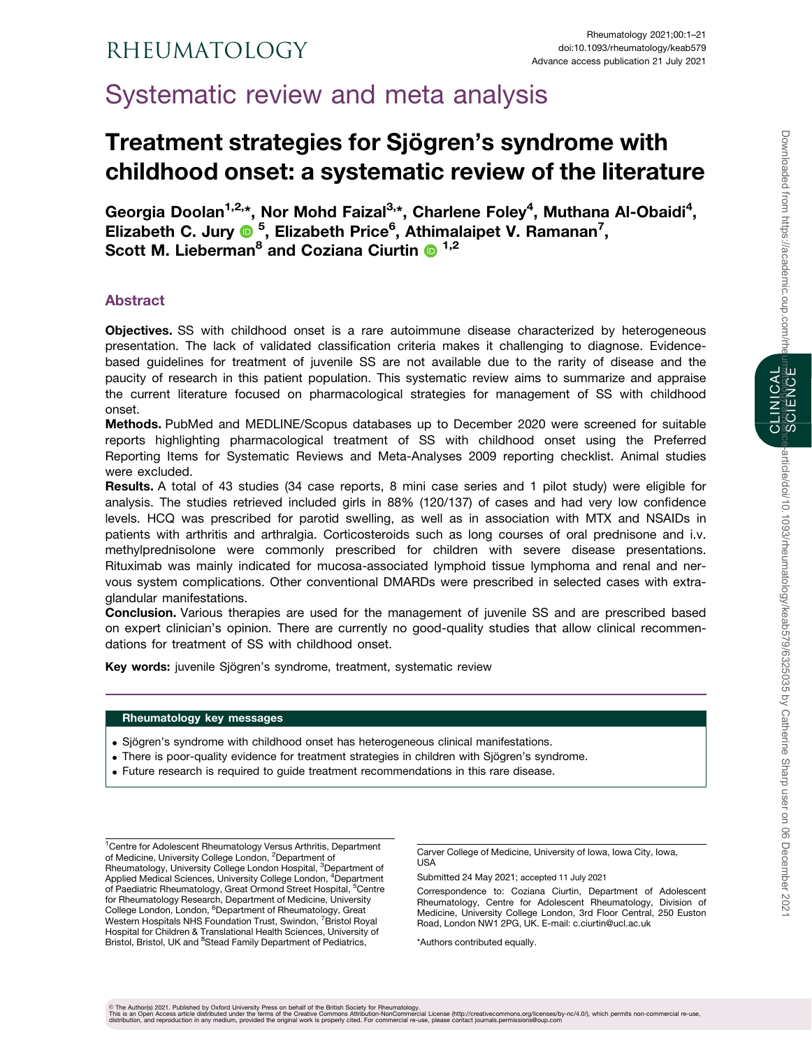Systematic review and meta analysis

# Treatment strategies for Sjögren's syndrome with childhood onset: a systematic review of the literature

Georgia Doolan<sup>1,2,\*</sup>, Nor Mohd Faizal<sup>3,\*</sup>, Charlene Foley<sup>4</sup>, Muthana Al-Obaidi<sup>4</sup>, Elizabeth C. Jury <sup>® 5</sup>, Elizabeth Price<sup>6</sup>, Athimalaipet V. Ramanan<sup>7</sup>, Scott M. Lieberman<sup>8</sup> and Coziana Ciurtin  $\bullet$  <sup>1,2</sup>

# Abstract

Objectives. SS with childhood onset is a rare autoimmune disease characterized by heterogeneous presentation. The lack of validated classification criteria makes it challenging to diagnose. Evidencebased guidelines for treatment of juvenile SS are not available due to the rarity of disease and the paucity of research in this patient population. This systematic review aims to summarize and appraise the current literature focused on pharmacological strategies for management of SS with childhood onset.

Methods. PubMed and MEDLINE/Scopus databases up to December 2020 were screened for suitable reports highlighting pharmacological treatment of SS with childhood onset using the Preferred Reporting Items for Systematic Reviews and Meta-Analyses 2009 reporting checklist. Animal studies were excluded.

Results. A total of 43 studies (34 case reports, 8 mini case series and 1 pilot study) were eligible for analysis. The studies retrieved included girls in 88% (120/137) of cases and had very low confidence levels. HCQ was prescribed for parotid swelling, as well as in association with MTX and NSAIDs in patients with arthritis and arthralgia. Corticosteroids such as long courses of oral prednisone and i.v. methylprednisolone were commonly prescribed for children with severe disease presentations. Rituximab was mainly indicated for mucosa-associated lymphoid tissue lymphoma and renal and nervous system complications. Other conventional DMARDs were prescribed in selected cases with extraglandular manifestations.

Conclusion. Various therapies are used for the management of juvenile SS and are prescribed based on expert clinician's opinion. There are currently no good-quality studies that allow clinical recommendations for treatment of SS with childhood onset.

Key words: juvenile Sjögren's syndrome, treatment, systematic review

# Rheumatology key messages

- . Sjögren's syndrome with childhood onset has heterogeneous clinical manifestations.
- . There is poor-quality evidence for treatment strategies in children with Sjögren's syndrome.
- . Future research is required to guide treatment recommendations in this rare disease.

<sup>1</sup> Centre for Adolescent Rheumatology Versus Arthritis, Department of Medicine, University College London, <sup>2</sup>Department of Rheumatology, University College London Hospital, <sup>3</sup>Department of Applied Medical Sciences, University College London, <sup>4</sup>Department of Paediatric Rheumatology, Great Ormond Street Hospital, <sup>5</sup>Centre for Rheumatology Research, Department of Medicine, University College London, London, <sup>6</sup>Department of Rheumatology, Great Western Hospitals NHS Foundation Trust, Swindon, <sup>7</sup> Bristol Royal Hospital for Children & Translational Health Sciences, University of Bristol, Bristol, UK and <sup>8</sup>Stead Family Department of Pediatrics,

Carver College of Medicine, University of Iowa, Iowa City, Iowa, USA

Submitted 24 May 2021; accepted 11 July 2021

Correspondence to: Coziana Ciurtin, Department of Adolescent Rheumatology, Centre for Adolescent Rheumatology, Division of Medicine, University College London, 3rd Floor Central, 250 Euston Road, London NW1 2PG, UK. E-mail: c.ciurtin@ucl.ac.uk

\*Authors contributed equally.

CLINICAL SCIENCE

© The Author(s) 2021. Published by Oxford University Press on behalf of the British Society for Rheumatology.<br>This is an Open Access article distributed under the therms of the Creative Commons Attribution-NonCommorecial<br>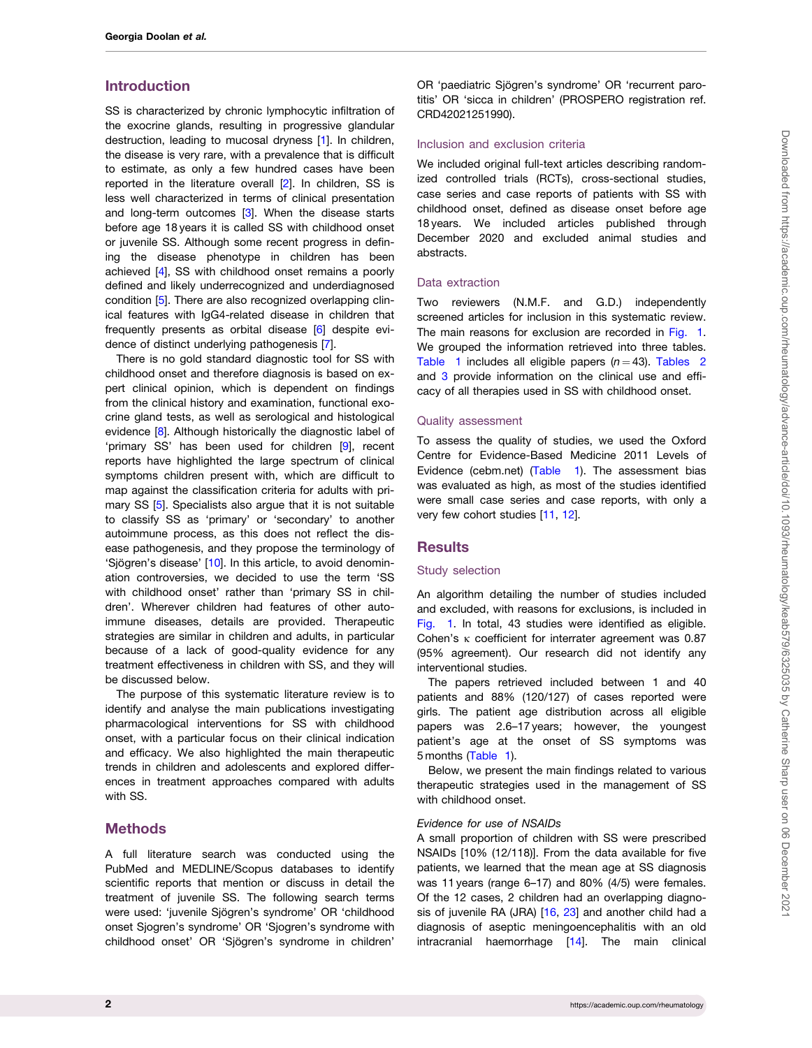# <span id="page-1-0"></span>Introduction

SS is characterized by chronic lymphocytic infiltration of the exocrine glands, resulting in progressive glandular destruction, leading to mucosal dryness [[1](#page-18-0)]. In children, the disease is very rare, with a prevalence that is difficult to estimate, as only a few hundred cases have been reported in the literature overall [[2](#page-18-0)]. In children, SS is less well characterized in terms of clinical presentation and long-term outcomes [[3\]](#page-18-0). When the disease starts before age 18 years it is called SS with childhood onset or juvenile SS. Although some recent progress in defining the disease phenotype in children has been achieved [\[4](#page-18-0)], SS with childhood onset remains a poorly defined and likely underrecognized and underdiagnosed condition [[5](#page-18-0)]. There are also recognized overlapping clinical features with IgG4-related disease in children that frequently presents as orbital disease [[6](#page-18-0)] despite evidence of distinct underlying pathogenesis [[7](#page-18-0)].

There is no gold standard diagnostic tool for SS with childhood onset and therefore diagnosis is based on expert clinical opinion, which is dependent on findings from the clinical history and examination, functional exocrine gland tests, as well as serological and histological evidence [[8\]](#page-18-0). Although historically the diagnostic label of 'primary SS' has been used for children [\[9](#page-18-0)], recent reports have highlighted the large spectrum of clinical symptoms children present with, which are difficult to map against the classification criteria for adults with primary SS [[5\]](#page-18-0). Specialists also argue that it is not suitable to classify SS as 'primary' or 'secondary' to another autoimmune process, as this does not reflect the disease pathogenesis, and they propose the terminology of 'Sjögren's disease' [[10](#page-18-0)]. In this article, to avoid denomination controversies, we decided to use the term 'SS with childhood onset' rather than 'primary SS in children'. Wherever children had features of other autoimmune diseases, details are provided. Therapeutic strategies are similar in children and adults, in particular because of a lack of good-quality evidence for any treatment effectiveness in children with SS, and they will be discussed below.

The purpose of this systematic literature review is to identify and analyse the main publications investigating pharmacological interventions for SS with childhood onset, with a particular focus on their clinical indication and efficacy. We also highlighted the main therapeutic trends in children and adolescents and explored differences in treatment approaches compared with adults with SS.

# Methods

A full literature search was conducted using the PubMed and MEDLINE/Scopus databases to identify scientific reports that mention or discuss in detail the treatment of juvenile SS. The following search terms were used: 'juvenile Sjögren's syndrome' OR 'childhood onset Sjogren's syndrome' OR 'Sjogren's syndrome with childhood onset' OR 'Sjögren's syndrome in children'

OR 'paediatric Siögren's syndrome' OR 'recurrent parotitis' OR 'sicca in children' (PROSPERO registration ref. CRD42021251990).

# Inclusion and exclusion criteria

We included original full-text articles describing randomized controlled trials (RCTs), cross-sectional studies, case series and case reports of patients with SS with childhood onset, defined as disease onset before age 18 years. We included articles published through December 2020 and excluded animal studies and abstracts.

#### Data extraction

Two reviewers (N.M.F. and G.D.) independently screened articles for inclusion in this systematic review. The main reasons for exclusion are recorded in [Fig. 1.](#page-2-0) We grouped the information retrieved into three tables. [Table 1](#page-3-0) includes all eligible papers  $(n = 43)$ . [Tables 2](#page-8-0) and [3](#page-12-0) provide information on the clinical use and efficacy of all therapies used in SS with childhood onset.

#### Quality assessment

To assess the quality of studies, we used the Oxford Centre for Evidence-Based Medicine 2011 Levels of Evidence (cebm.net) [\(Table 1\)](#page-3-0). The assessment bias was evaluated as high, as most of the studies identified were small case series and case reports, with only a very few cohort studies [[11,](#page-18-0) [12\]](#page-18-0).

#### **Results**

#### Study selection

An algorithm detailing the number of studies included and excluded, with reasons for exclusions, is included in [Fig. 1](#page-2-0). In total, 43 studies were identified as eligible. Cohen's  $\kappa$  coefficient for interrater agreement was 0.87 (95% agreement). Our research did not identify any interventional studies.

The papers retrieved included between 1 and 40 patients and 88% (120/127) of cases reported were girls. The patient age distribution across all eligible papers was 2.6–17 years; however, the youngest patient's age at the onset of SS symptoms was 5 months [\(Table 1\)](#page-3-0).

Below, we present the main findings related to various therapeutic strategies used in the management of SS with childhood onset.

#### Evidence for use of NSAIDs

A small proportion of children with SS were prescribed NSAIDs [10% (12/118)]. From the data available for five patients, we learned that the mean age at SS diagnosis was 11 years (range 6–17) and 80% (4/5) were females. Of the 12 cases, 2 children had an overlapping diagno-sis of juvenile RA (JRA) [\[16,](#page-19-0) [23\]](#page-19-0) and another child had a diagnosis of aseptic meningoencephalitis with an old intracranial haemorrhage [[14\]](#page-19-0). The main clinical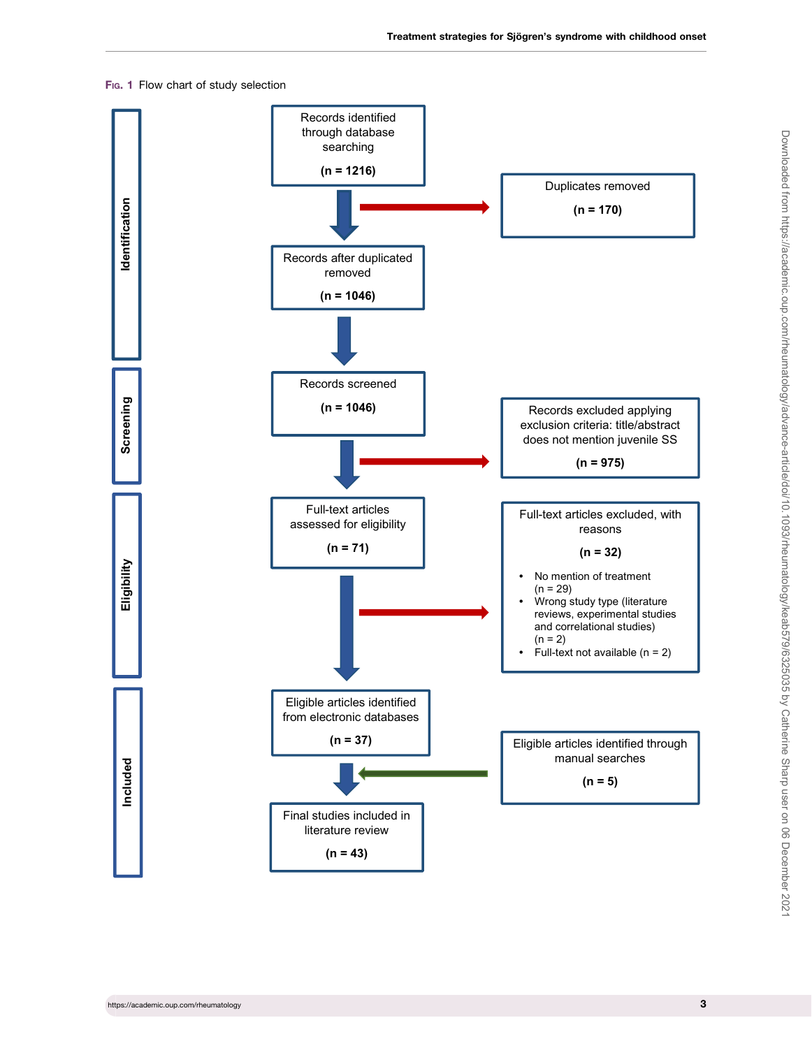### <span id="page-2-0"></span>Fig. 1 Flow chart of study selection

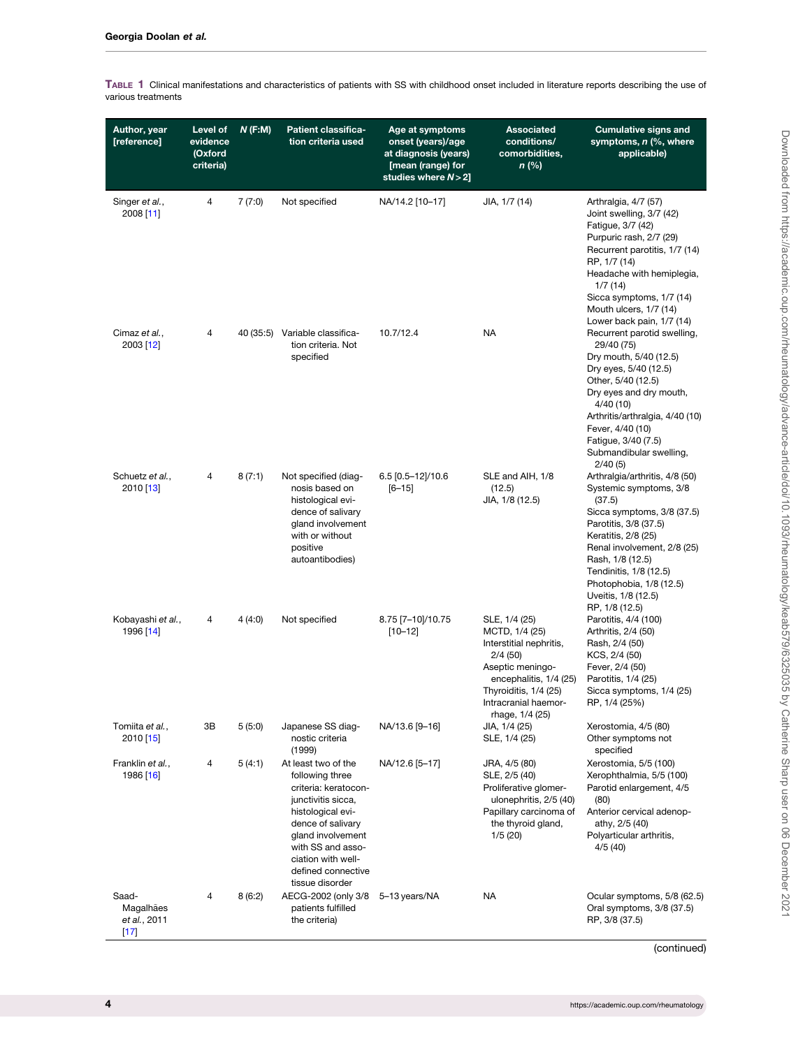| Author, year<br>[reference]                  | Level of<br>evidence<br>(Oxford<br>criteria) | N(F:M) | <b>Patient classifica-</b><br>tion criteria used                                                                                                                                                                                        | Age at symptoms<br>onset (years)/age<br>at diagnosis (years)<br>[mean (range) for<br>studies where $N > 2$ ] | <b>Associated</b><br>conditions/<br>comorbidities,<br>n (%)                                                                                                                             | <b>Cumulative signs and</b><br>symptoms, n (%, where<br>applicable)                                                                                                                                                                                                                               |
|----------------------------------------------|----------------------------------------------|--------|-----------------------------------------------------------------------------------------------------------------------------------------------------------------------------------------------------------------------------------------|--------------------------------------------------------------------------------------------------------------|-----------------------------------------------------------------------------------------------------------------------------------------------------------------------------------------|---------------------------------------------------------------------------------------------------------------------------------------------------------------------------------------------------------------------------------------------------------------------------------------------------|
| Singer et al.,<br>2008 [11]                  | 4                                            | 7(7:0) | Not specified                                                                                                                                                                                                                           | NA/14.2 [10-17]                                                                                              | JIA, 1/7 (14)                                                                                                                                                                           | Arthralgia, 4/7 (57)<br>Joint swelling, 3/7 (42)<br>Fatigue, 3/7 (42)<br>Purpuric rash, 2/7 (29)<br>Recurrent parotitis, 1/7 (14)<br>RP, 1/7 (14)<br>Headache with hemiplegia,<br>1/7(14)<br>Sicca symptoms, 1/7 (14)<br>Mouth ulcers, 1/7 (14)<br>Lower back pain, 1/7 (14)                      |
| Cimaz et al.,<br>2003 [12]                   | 4                                            |        | 40 (35:5) Variable classifica-<br>tion criteria. Not<br>specified                                                                                                                                                                       | 10.7/12.4                                                                                                    | <b>NA</b>                                                                                                                                                                               | Recurrent parotid swelling,<br>29/40 (75)<br>Dry mouth, 5/40 (12.5)<br>Dry eyes, 5/40 (12.5)<br>Other, 5/40 (12.5)<br>Dry eyes and dry mouth,<br>4/40 (10)<br>Arthritis/arthralgia, 4/40 (10)<br>Fever, 4/40 (10)<br>Fatigue, 3/40 (7.5)<br>Submandibular swelling,<br>2/40(5)                    |
| Schuetz et al.,<br>2010 [13]                 | 4                                            | 8(7:1) | Not specified (diag-<br>nosis based on<br>histological evi-<br>dence of salivary<br>gland involvement<br>with or without<br>positive<br>autoantibodies)                                                                                 | 6.5 [0.5-12]/10.6<br>$[6 - 15]$                                                                              | SLE and AIH, 1/8<br>(12.5)<br>JIA, 1/8 (12.5)                                                                                                                                           | Arthralgia/arthritis, 4/8 (50)<br>Systemic symptoms, 3/8<br>(37.5)<br>Sicca symptoms, 3/8 (37.5)<br>Parotitis, 3/8 (37.5)<br>Keratitis, 2/8 (25)<br>Renal involvement, 2/8 (25)<br>Rash, 1/8 (12.5)<br>Tendinitis, 1/8 (12.5)<br>Photophobia, 1/8 (12.5)<br>Uveitis, 1/8 (12.5)<br>RP, 1/8 (12.5) |
| Kobayashi et al.,<br>1996 [14]               | 4                                            | 4(4:0) | Not specified                                                                                                                                                                                                                           | 8.75 [7-10]/10.75<br>$[10 - 12]$                                                                             | SLE, 1/4 (25)<br>MCTD, 1/4 (25)<br>Interstitial nephritis,<br>2/4(50)<br>Aseptic meningo-<br>encephalitis, 1/4 (25)<br>Thyroiditis, 1/4 (25)<br>Intracranial haemor-<br>rhage, 1/4 (25) | Parotitis, 4/4 (100)<br>Arthritis, 2/4 (50)<br>Rash, 2/4 (50)<br>KCS, 2/4 (50)<br>Fever, 2/4 (50)<br>Parotitis, 1/4 (25)<br>Sicca symptoms, 1/4 (25)<br>RP, 1/4 (25%)                                                                                                                             |
| Tomiita et al.,<br>2010 [15]                 | 3B                                           | 5(5:0) | Japanese SS diag-<br>nostic criteria<br>(1999)                                                                                                                                                                                          | NA/13.6 [9-16]                                                                                               | JIA, 1/4 (25)<br>SLE, 1/4 (25)                                                                                                                                                          | Xerostomia, 4/5 (80)<br>Other symptoms not<br>specified                                                                                                                                                                                                                                           |
| Franklin et al.,<br>1986 [16]                | 4                                            | 5(4:1) | At least two of the<br>following three<br>criteria: keratocon-<br>junctivitis sicca,<br>histological evi-<br>dence of salivary<br>gland involvement<br>with SS and asso-<br>ciation with well-<br>defined connective<br>tissue disorder | NA/12.6 [5-17]                                                                                               | JRA, 4/5 (80)<br>SLE, 2/5 (40)<br>Proliferative glomer-<br>ulonephritis, 2/5 (40)<br>Papillary carcinoma of<br>the thyroid gland,<br>1/5(20)                                            | Xerostomia, 5/5 (100)<br>Xerophthalmia, 5/5 (100)<br>Parotid enlargement, 4/5<br>(80)<br>Anterior cervical adenop-<br>athy, 2/5 (40)<br>Polyarticular arthritis,<br>4/5(40)                                                                                                                       |
| Saad-<br>Magalhães<br>et al., 2011<br>$[17]$ | 4                                            | 8(6:2) | AECG-2002 (only 3/8 5-13 years/NA<br>patients fulfilled<br>the criteria)                                                                                                                                                                |                                                                                                              | NA                                                                                                                                                                                      | Ocular symptoms, 5/8 (62.5)<br>Oral symptoms, 3/8 (37.5)<br>RP, 3/8 (37.5)                                                                                                                                                                                                                        |

<span id="page-3-0"></span>TABLE 1 Clinical manifestations and characteristics of patients with SS with childhood onset included in literature reports describing the use of various treatments

(continued)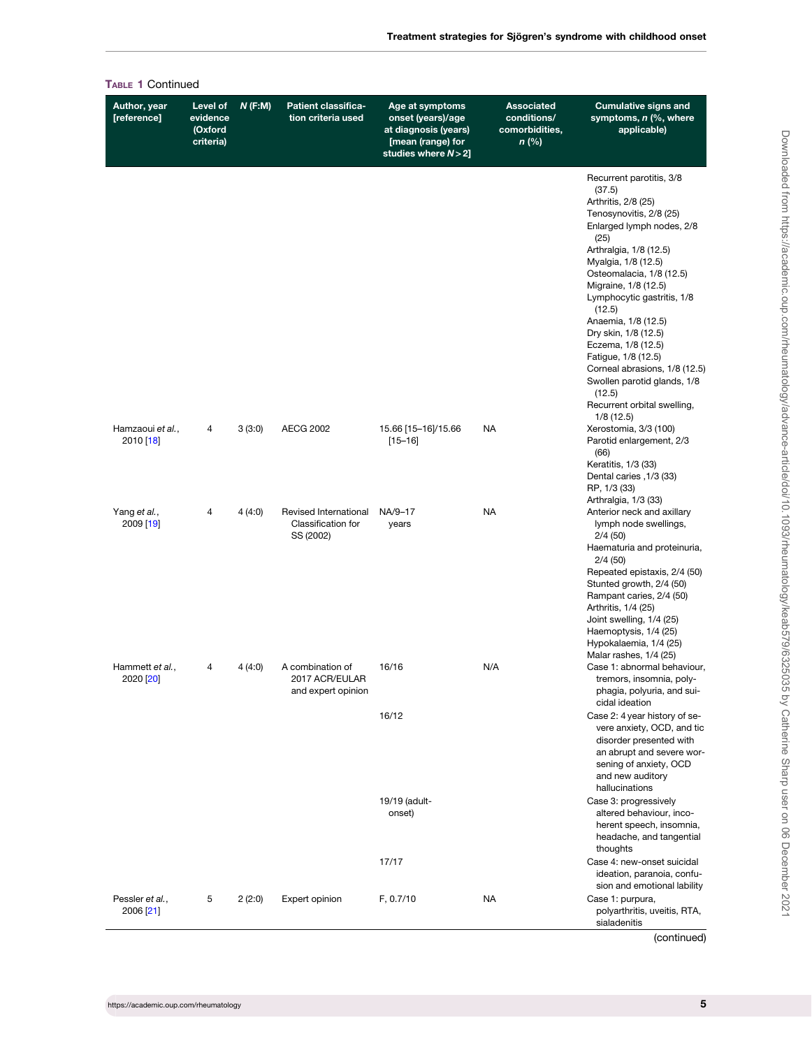| vel of<br>dence<br>xford<br>teria) | $N$ (F:M) | <b>Patient classifica-</b><br>tion criteria used         | Age at symptoms<br>onset (years)/age<br>at diagnosis (years)<br>[mean (range) for<br>studies where $N>2$ ] | <b>Associated</b><br>conditions/<br>comorbidities,<br>$n$ (%) | <b>Cumulative signs and</b><br>symptoms, n (%, where<br>applicable)                                                                                                                                                                                                                                                                                                |
|------------------------------------|-----------|----------------------------------------------------------|------------------------------------------------------------------------------------------------------------|---------------------------------------------------------------|--------------------------------------------------------------------------------------------------------------------------------------------------------------------------------------------------------------------------------------------------------------------------------------------------------------------------------------------------------------------|
|                                    |           |                                                          |                                                                                                            |                                                               | Recurrent parotitis, 3/8<br>(37.5)<br>Arthritis, 2/8 (25)<br>Tenosynovitis, 2/8 (25)<br>Enlarged lymph nodes, 2/8<br>(25)<br>Arthralgia, 1/8 (12.5)<br>Myalgia, 1/8 (12.5)<br>Osteomalacia, 1/8 (12.5)<br>Migraine, 1/8 (12.5)<br>Lymphocytic gastritis, 1/8<br>(12.5)<br>Anaemia, 1/8 (12.5)<br>Dry skin, 1/8 (12.5)<br>Eczema, 1/8 (12.5)<br>Fatigue, 1/8 (12.5) |
|                                    |           |                                                          |                                                                                                            |                                                               | Corneal abrasions, 1/8 (12.5)<br>Swollen parotid glands, 1/8<br>(12.5)<br>Recurrent orbital swelling,                                                                                                                                                                                                                                                              |
| 4                                  | 3(3:0)    | <b>AECG 2002</b>                                         | 15.66 [15-16]/15.66<br>$[15 - 16]$                                                                         | <b>NA</b>                                                     | 1/8(12.5)<br>Xerostomia, 3/3 (100)<br>Parotid enlargement, 2/3<br>(66)<br>Keratitis, 1/3 (33)                                                                                                                                                                                                                                                                      |
|                                    |           |                                                          |                                                                                                            |                                                               | Dental caries , 1/3 (33)<br>RP, 1/3 (33)<br>Arthralgia, 1/3 (33)                                                                                                                                                                                                                                                                                                   |
| 4                                  | 4(4:0)    | Revised International<br>Classification for<br>SS (2002) | NA/9-17<br>years                                                                                           | <b>NA</b>                                                     | Anterior neck and axillary<br>lymph node swellings,<br>2/4(50)<br>Haematuria and proteinuria,<br>2/4(50)<br>Repeated epistaxis, 2/4 (50)                                                                                                                                                                                                                           |
|                                    |           |                                                          |                                                                                                            |                                                               | Stunted growth, 2/4 (50)<br>Rampant caries, 2/4 (50)<br>Arthritis, 1/4 (25)<br>Joint swelling, 1/4 (25)<br>Haemoptysis, 1/4 (25)<br>Hypokalaemia, 1/4 (25)                                                                                                                                                                                                         |
| 4                                  | 4 (4:0)   | A combination of<br>2017 ACR/EULAR<br>and expert opinion | 16/16                                                                                                      | N/A                                                           | Malar rashes, 1/4 (25)<br>Case 1: abnormal behaviour,<br>tremors, insomnia, poly-<br>phagia, polyuria, and sui-<br>cidal ideation                                                                                                                                                                                                                                  |
|                                    |           |                                                          | 16/12                                                                                                      |                                                               | Case 2: 4 year history of se-<br>vere anxiety, OCD, and tic<br>disorder presented with<br>an abrupt and severe wor-<br>sening of anxiety, OCD<br>and new auditory<br>hallucinations                                                                                                                                                                                |
|                                    |           |                                                          | 19/19 (adult-<br>onset)                                                                                    |                                                               | Case 3: progressively<br>altered behaviour, inco-<br>herent speech, insomnia,<br>headache, and tangential<br>thoughts                                                                                                                                                                                                                                              |
|                                    |           |                                                          | 17/17                                                                                                      |                                                               | Case 4: new-onset suicidal<br>ideation, paranoia, confu-<br>sion and emotional lability                                                                                                                                                                                                                                                                            |
| 5                                  | 2(2:0)    | Expert opinion                                           | F, 0.7/10                                                                                                  | <b>NA</b>                                                     | Case 1: purpura,<br>polyarthritis, uveitis, RTA,<br>sialadenitis                                                                                                                                                                                                                                                                                                   |

(continued)

<span id="page-4-0"></span>TABLE 1 Continued Author, year [reference]

Hamzaoui et al., 2010 [\[18](#page-19-0)]

Yang et al., 2009 [\[19](#page-19-0)]

Hammett et al.,  $2020$   $[20]$  $[20]$ 

Pessler et al., 2006 [\[21](#page-19-0)]

Level of evidence (Oxford criteria)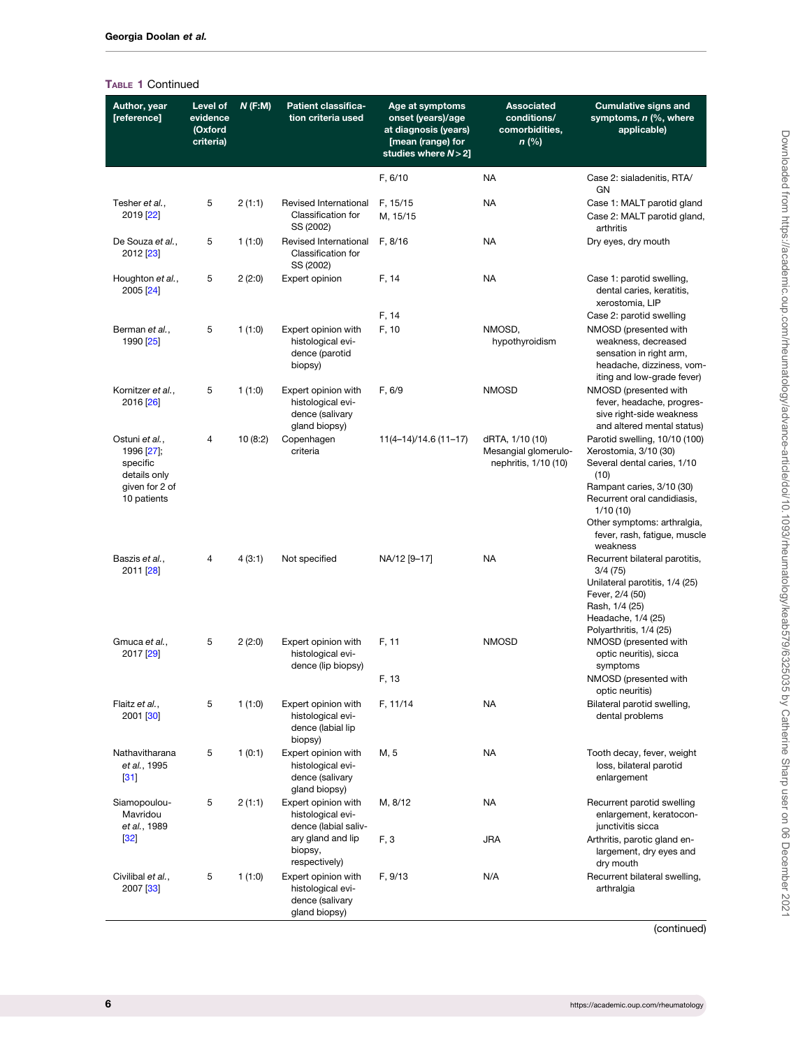# <span id="page-5-0"></span>TABLE 1 Continued

| Author, year<br>[reference]                                                               | Level of<br>evidence<br>(Oxford<br>criteria) | $N$ (F:M) | <b>Patient classifica-</b><br>tion criteria used                             | Age at symptoms<br>onset (years)/age<br>at diagnosis (years)<br>[mean (range) for<br>studies where $N > 2$ ] | <b>Associated</b><br>conditions/<br>comorbidities,<br>$n$ (%)   | <b>Cumulative signs and</b><br>symptoms, n (%, where<br>applicable)                                                                                                                                                                  |
|-------------------------------------------------------------------------------------------|----------------------------------------------|-----------|------------------------------------------------------------------------------|--------------------------------------------------------------------------------------------------------------|-----------------------------------------------------------------|--------------------------------------------------------------------------------------------------------------------------------------------------------------------------------------------------------------------------------------|
|                                                                                           |                                              |           |                                                                              | F, 6/10                                                                                                      | <b>NA</b>                                                       | Case 2: sialadenitis, RTA/<br>GN                                                                                                                                                                                                     |
| Tesher et al.,<br>2019 [22]                                                               | 5                                            | 2(1:1)    | Revised International<br>Classification for<br>SS (2002)                     | F, 15/15<br>M, 15/15                                                                                         | <b>NA</b>                                                       | Case 1: MALT parotid gland<br>Case 2: MALT parotid gland,<br>arthritis                                                                                                                                                               |
| De Souza et al.,<br>2012 [23]                                                             | 5                                            | 1(1:0)    | Revised International<br>Classification for<br>SS (2002)                     | F, 8/16                                                                                                      | <b>NA</b>                                                       | Dry eyes, dry mouth                                                                                                                                                                                                                  |
| Houghton et al.,<br>2005 [24]                                                             | 5                                            | 2(2:0)    | Expert opinion                                                               | F, 14                                                                                                        | <b>NA</b>                                                       | Case 1: parotid swelling,<br>dental caries, keratitis,<br>xerostomia, LIP                                                                                                                                                            |
|                                                                                           |                                              |           |                                                                              | F, 14                                                                                                        |                                                                 | Case 2: parotid swelling                                                                                                                                                                                                             |
| Berman et al.,<br>1990 [25]                                                               | 5                                            | 1(1:0)    | Expert opinion with<br>histological evi-<br>dence (parotid<br>biopsy)        | F, 10                                                                                                        | NMOSD,<br>hypothyroidism                                        | NMOSD (presented with<br>weakness, decreased<br>sensation in right arm,<br>headache, dizziness, vom-<br>iting and low-grade fever)                                                                                                   |
| Kornitzer et al.,<br>2016 [26]                                                            | 5                                            | 1(1:0)    | Expert opinion with<br>histological evi-<br>dence (salivary<br>gland biopsy) | F, 6/9                                                                                                       | <b>NMOSD</b>                                                    | NMOSD (presented with<br>fever, headache, progres-<br>sive right-side weakness<br>and altered mental status)                                                                                                                         |
| Ostuni et al.,<br>1996 [27];<br>specific<br>details only<br>given for 2 of<br>10 patients | 4                                            | 10(8:2)   | Copenhagen<br>criteria                                                       | $11(4-14)/14.6(11-17)$                                                                                       | dRTA, 1/10 (10)<br>Mesangial glomerulo-<br>nephritis, 1/10 (10) | Parotid swelling, 10/10 (100)<br>Xerostomia, 3/10 (30)<br>Several dental caries, 1/10<br>(10)<br>Rampant caries, 3/10 (30)<br>Recurrent oral candidiasis,<br>1/10(10)<br>Other symptoms: arthralgia,<br>fever, rash, fatigue, muscle |
| Baszis et al.,<br>2011 [28]                                                               | 4                                            | 4 (3:1)   | Not specified                                                                | NA/12 [9-17]                                                                                                 | NA                                                              | weakness<br>Recurrent bilateral parotitis,<br>3/4(75)<br>Unilateral parotitis, 1/4 (25)<br>Fever, 2/4 (50)<br>Rash, 1/4 (25)<br>Headache, 1/4 (25)<br>Polyarthritis, 1/4 (25)                                                        |
| Gmuca et al.,<br>2017 [29]                                                                | 5                                            | 2(2:0)    | Expert opinion with<br>histological evi-<br>dence (lip biopsy)               | F, 11                                                                                                        | <b>NMOSD</b>                                                    | NMOSD (presented with<br>optic neuritis), sicca<br>symptoms                                                                                                                                                                          |
|                                                                                           |                                              |           |                                                                              | F, 13                                                                                                        |                                                                 | NMOSD (presented with<br>optic neuritis)                                                                                                                                                                                             |
| Flaitz et al.,<br>2001 [30]                                                               | 5                                            | 1(1:0)    | Expert opinion with<br>histological evi-<br>dence (labial lip<br>biopsy)     | F, 11/14                                                                                                     | <b>NA</b>                                                       | Bilateral parotid swelling,<br>dental problems                                                                                                                                                                                       |
| Nathavitharana<br>et al., 1995<br>[31]                                                    | 5                                            | 1(0:1)    | Expert opinion with<br>histological evi-<br>dence (salivary<br>gland biopsy) | M, 5                                                                                                         | NA                                                              | Tooth decay, fever, weight<br>loss, bilateral parotid<br>enlargement                                                                                                                                                                 |
| Siamopoulou-<br>Mavridou<br>et al., 1989                                                  | 5                                            | 2(1:1)    | Expert opinion with<br>histological evi-<br>dence (labial saliv-             | M, 8/12                                                                                                      | <b>NA</b>                                                       | Recurrent parotid swelling<br>enlargement, keratocon-<br>junctivitis sicca                                                                                                                                                           |
| $[32]$                                                                                    |                                              |           | ary gland and lip<br>biopsy,<br>respectively)                                | F, 3                                                                                                         | <b>JRA</b>                                                      | Arthritis, parotic gland en-<br>largement, dry eyes and<br>dry mouth                                                                                                                                                                 |
| Civilibal et al.,<br>2007 [33]                                                            | 5                                            | 1(1:0)    | Expert opinion with<br>histological evi-<br>dence (salivary<br>gland biopsy) | F, 9/13                                                                                                      | N/A                                                             | Recurrent bilateral swelling,<br>arthralgia                                                                                                                                                                                          |

(continued)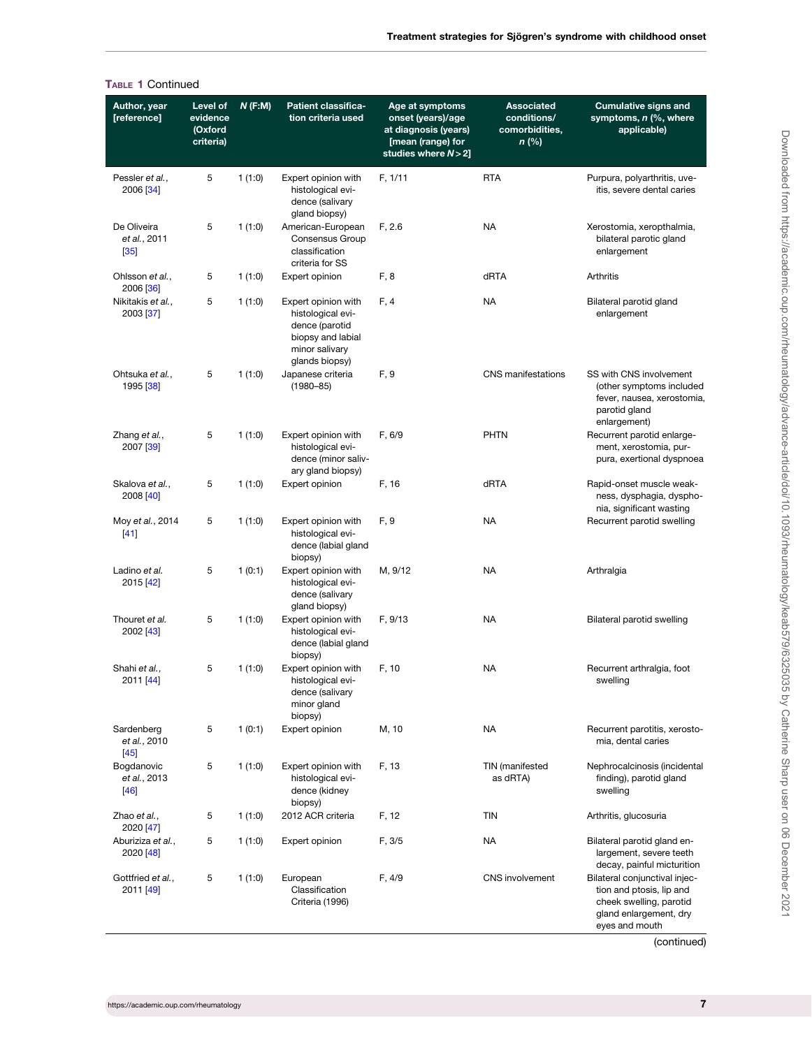<span id="page-6-0"></span>

|                                                  | <b>TABLE 1 Continued</b>                     |        |                                                                                                                     |                                                                                                              |                                                             |                                                                                                                                  |
|--------------------------------------------------|----------------------------------------------|--------|---------------------------------------------------------------------------------------------------------------------|--------------------------------------------------------------------------------------------------------------|-------------------------------------------------------------|----------------------------------------------------------------------------------------------------------------------------------|
| Author, year<br>[reference]                      | Level of<br>evidence<br>(Oxford<br>criteria) | N(F:M) | <b>Patient classifica-</b><br>tion criteria used                                                                    | Age at symptoms<br>onset (years)/age<br>at diagnosis (years)<br>[mean (range) for<br>studies where $N > 2$ ] | <b>Associated</b><br>conditions/<br>comorbidities,<br>n (%) | <b>Cumulative signs and</b><br>symptoms, n (%, where<br>applicable)                                                              |
| Pessler et al.,<br>2006 [34]                     | 5                                            | 1(1:0) | Expert opinion with<br>histological evi-<br>dence (salivary<br>gland biopsy)                                        | F, 1/11                                                                                                      | <b>RTA</b>                                                  | Purpura, polyarthritis, uve-<br>itis, severe dental caries                                                                       |
| De Oliveira<br>et al., 2011<br>$\left[35\right]$ | 5                                            | 1(1:0) | American-European<br>Consensus Group<br>classification<br>criteria for SS                                           | F, 2.6                                                                                                       | <b>NA</b>                                                   | Xerostomia, xeropthalmia,<br>bilateral parotic gland<br>enlargement                                                              |
| Ohlsson et al.,<br>2006 [36]                     | 5                                            | 1(1:0) | Expert opinion                                                                                                      | F, 8                                                                                                         | dRTA                                                        | Arthritis                                                                                                                        |
| Nikitakis et al.,<br>2003 [37]                   | 5                                            | 1(1:0) | Expert opinion with<br>histological evi-<br>dence (parotid<br>biopsy and labial<br>minor salivary<br>glands biopsy) | F, 4                                                                                                         | NA                                                          | Bilateral parotid gland<br>enlargement                                                                                           |
| Ohtsuka et al.,<br>1995 [38]                     | 5                                            | 1(1:0) | Japanese criteria<br>$(1980 - 85)$                                                                                  | F, 9                                                                                                         | <b>CNS</b> manifestations                                   | SS with CNS involvement<br>(other symptoms included<br>fever, nausea, xerostomia,<br>parotid gland<br>enlargement)               |
| Zhang et al.,<br>2007 [39]                       | 5                                            | 1(1:0) | Expert opinion with<br>histological evi-<br>dence (minor saliv-<br>ary gland biopsy)                                | F, 6/9                                                                                                       | PHTN                                                        | Recurrent parotid enlarge-<br>ment, xerostomia, pur-<br>pura, exertional dyspnoea                                                |
| Skalova et al.,<br>2008 [40]                     | 5                                            | 1(1:0) | Expert opinion                                                                                                      | F, 16                                                                                                        | dRTA                                                        | Rapid-onset muscle weak-<br>ness, dysphagia, dyspho-<br>nia, significant wasting                                                 |
| Moy et al., 2014<br>$[41]$                       | 5                                            | 1(1:0) | Expert opinion with<br>histological evi-<br>dence (labial gland<br>biopsy)                                          | F, 9                                                                                                         | <b>NA</b>                                                   | Recurrent parotid swelling                                                                                                       |
| Ladino et al.<br>2015 [42]                       | 5                                            | 1(0:1) | Expert opinion with<br>histological evi-<br>dence (salivary<br>gland biopsy)                                        | M, 9/12                                                                                                      | <b>NA</b>                                                   | Arthralgia                                                                                                                       |
| Thouret et al.<br>2002 [43]                      | 5                                            | 1(1:0) | Expert opinion with<br>histological evi-<br>dence (labial gland<br>biopsy)                                          | F, 9/13                                                                                                      | <b>NA</b>                                                   | Bilateral parotid swelling                                                                                                       |
| Shahi et al.,<br>2011 [44]                       | 5                                            | 1(1:0) | Expert opinion with<br>histological evi-<br>dence (salivary<br>minor gland<br>biopsy)                               | F, 10                                                                                                        | NA                                                          | Recurrent arthralgia, foot<br>swelling                                                                                           |
| Sardenberg<br>et al., 2010<br>$[45]$             | 5                                            | 1(0:1) | Expert opinion                                                                                                      | M, 10                                                                                                        | <b>NA</b>                                                   | Recurrent parotitis, xerosto-<br>mia, dental caries                                                                              |
| Bogdanovic<br>et al., 2013<br>[46]               | 5                                            | 1(1:0) | Expert opinion with<br>histological evi-<br>dence (kidney<br>biopsy)                                                | F, 13                                                                                                        | TIN (manifested<br>as dRTA)                                 | Nephrocalcinosis (incidental<br>finding), parotid gland<br>swelling                                                              |
| Zhao et al.,<br>2020 [47]                        | 5                                            | 1(1:0) | 2012 ACR criteria                                                                                                   | F, 12                                                                                                        | TIN                                                         | Arthritis, glucosuria                                                                                                            |
| Aburiziza et al.,<br>2020 [48]                   | 5                                            | 1(1:0) | Expert opinion                                                                                                      | F, 3/5                                                                                                       | <b>NA</b>                                                   | Bilateral parotid gland en-<br>largement, severe teeth<br>decay, painful micturition                                             |
| Gottfried et al.,<br>2011 [49]                   | 5                                            | 1(1:0) | European<br>Classification<br>Criteria (1996)                                                                       | F, 4/9                                                                                                       | CNS involvement                                             | Bilateral conjunctival injec-<br>tion and ptosis, lip and<br>cheek swelling, parotid<br>gland enlargement, dry<br>eyes and mouth |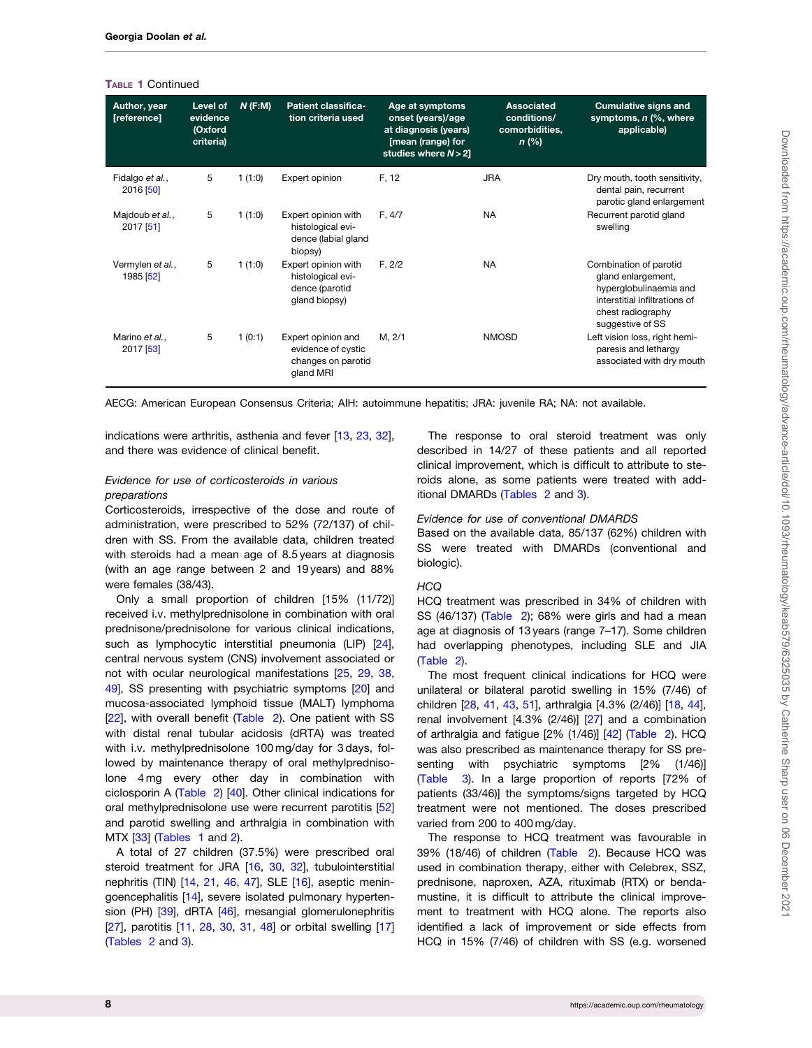<span id="page-7-0"></span>TABLE 1 Continued

| Author, year<br>[reference]   | Level of<br>evidence<br>(Oxford<br>criteria) | N(F:M) | <b>Patient classifica-</b><br>tion criteria used                            | Age at symptoms<br>onset (years)/age<br>at diagnosis (years)<br>[mean (range) for<br>studies where $N > 2$ ] | <b>Associated</b><br>conditions/<br>comorbidities,<br>$n$ (%) | <b>Cumulative signs and</b><br>symptoms, n (%, where<br>applicable)                                                                              |
|-------------------------------|----------------------------------------------|--------|-----------------------------------------------------------------------------|--------------------------------------------------------------------------------------------------------------|---------------------------------------------------------------|--------------------------------------------------------------------------------------------------------------------------------------------------|
| Fidalgo et al.,<br>2016 [50]  | 5                                            | 1(1:0) | Expert opinion                                                              | F, 12                                                                                                        | <b>JRA</b>                                                    | Dry mouth, tooth sensitivity,<br>dental pain, recurrent<br>parotic gland enlargement                                                             |
| Majdoub et al.,<br>2017 [51]  | 5                                            | 1(1:0) | Expert opinion with<br>histological evi-<br>dence (labial gland<br>biopsy)  | F, 4/7                                                                                                       | <b>NA</b>                                                     | Recurrent parotid gland<br>swelling                                                                                                              |
| Vermylen et al.,<br>1985 [52] | 5                                            | 1(1:0) | Expert opinion with<br>histological evi-<br>dence (parotid<br>gland biopsy) | F, 2/2                                                                                                       | <b>NA</b>                                                     | Combination of parotid<br>gland enlargement,<br>hyperglobulinaemia and<br>interstitial infiltrations of<br>chest radiography<br>suggestive of SS |
| Marino et al.,<br>2017 [53]   | 5                                            | 1(0:1) | Expert opinion and<br>evidence of cystic<br>changes on parotid<br>gland MRI | M, 2/1                                                                                                       | <b>NMOSD</b>                                                  | Left vision loss, right hemi-<br>paresis and lethargy<br>associated with dry mouth                                                               |

AECG: American European Consensus Criteria; AIH: autoimmune hepatitis; JRA: juvenile RA; NA: not available.

indications were arthritis, asthenia and fever [\[13,](#page-19-0) [23](#page-19-0), [32](#page-19-0)], and there was evidence of clinical benefit.

# Evidence for use of corticosteroids in various preparations

Corticosteroids, irrespective of the dose and route of administration, were prescribed to 52% (72/137) of children with SS. From the available data, children treated with steroids had a mean age of 8.5 years at diagnosis (with an age range between 2 and 19 years) and 88% were females (38/43).

Only a small proportion of children [15% (11/72)] received i.v. methylprednisolone in combination with oral prednisone/prednisolone for various clinical indications, such as lymphocytic interstitial pneumonia (LIP) [[24](#page-19-0)], central nervous system (CNS) involvement associated or not with ocular neurological manifestations [\[25,](#page-19-0) [29](#page-19-0), [38](#page-19-0), [49\]](#page-20-0), SS presenting with psychiatric symptoms [[20](#page-19-0)] and mucosa-associated lymphoid tissue (MALT) lymphoma [[22\]](#page-19-0), with overall benefit [\(Table 2\)](#page-8-0). One patient with SS with distal renal tubular acidosis (dRTA) was treated with i.v. methylprednisolone 100 mg/day for 3 days, followed by maintenance therapy of oral methylprednisolone 4 mg every other day in combination with ciclosporin A [\(Table 2\)](#page-8-0) [\[40\]](#page-19-0). Other clinical indications for oral methylprednisolone use were recurrent parotitis [\[52](#page-20-0)] and parotid swelling and arthralgia in combination with MTX [[33](#page-19-0)] ([Tables 1](#page-3-0) and [2\)](#page-8-0).

A total of 27 children (37.5%) were prescribed oral steroid treatment for JRA [\[16,](#page-19-0) [30,](#page-19-0) [32\]](#page-19-0), tubulointerstitial nephritis (TIN) [[14,](#page-19-0) [21](#page-19-0), [46](#page-19-0), [47\]](#page-19-0), SLE [[16](#page-19-0)], aseptic meningoencephalitis [[14](#page-19-0)], severe isolated pulmonary hyperten-sion (PH) [\[39\]](#page-19-0), dRTA [[46](#page-19-0)], mesangial glomerulonephritis [[27\]](#page-19-0), parotitis [\[11,](#page-18-0) [28](#page-19-0), [30](#page-19-0), [31,](#page-19-0) [48\]](#page-20-0) or orbital swelling [\[17](#page-19-0)] ([Tables 2](#page-8-0) and [3\)](#page-12-0).

The response to oral steroid treatment was only described in 14/27 of these patients and all reported clinical improvement, which is difficult to attribute to steroids alone, as some patients were treated with additional DMARDs ([Tables 2](#page-8-0) and [3](#page-12-0)).

### Evidence for use of conventional DMARDS

Based on the available data, 85/137 (62%) children with SS were treated with DMARDs (conventional and biologic).

#### **HCQ**

HCQ treatment was prescribed in 34% of children with SS (46/137) [\(Table 2\)](#page-8-0); 68% were girls and had a mean age at diagnosis of 13 years (range 7–17). Some children had overlapping phenotypes, including SLE and JIA ([Table 2](#page-8-0)).

The most frequent clinical indications for HCQ were unilateral or bilateral parotid swelling in 15% (7/46) of children [\[28](#page-19-0), [41](#page-19-0), [43](#page-19-0), [51\]](#page-20-0), arthralgia [4.3% (2/46)] [\[18,](#page-19-0) [44](#page-19-0)], renal involvement [4.3% (2/46)] [\[27\]](#page-19-0) and a combination of arthralgia and fatigue [2% (1/46)] [[42\]](#page-19-0) ([Table 2](#page-8-0)). HCQ was also prescribed as maintenance therapy for SS presenting with psychiatric symptoms [2% (1/46)] ([Table 3](#page-12-0)). In a large proportion of reports [72% of patients (33/46)] the symptoms/signs targeted by HCQ treatment were not mentioned. The doses prescribed varied from 200 to 400 mg/day.

The response to HCQ treatment was favourable in 39% (18/46) of children ([Table 2\)](#page-8-0). Because HCQ was used in combination therapy, either with Celebrex, SSZ, prednisone, naproxen, AZA, rituximab (RTX) or bendamustine, it is difficult to attribute the clinical improvement to treatment with HCQ alone. The reports also identified a lack of improvement or side effects from HCQ in 15% (7/46) of children with SS (e.g. worsened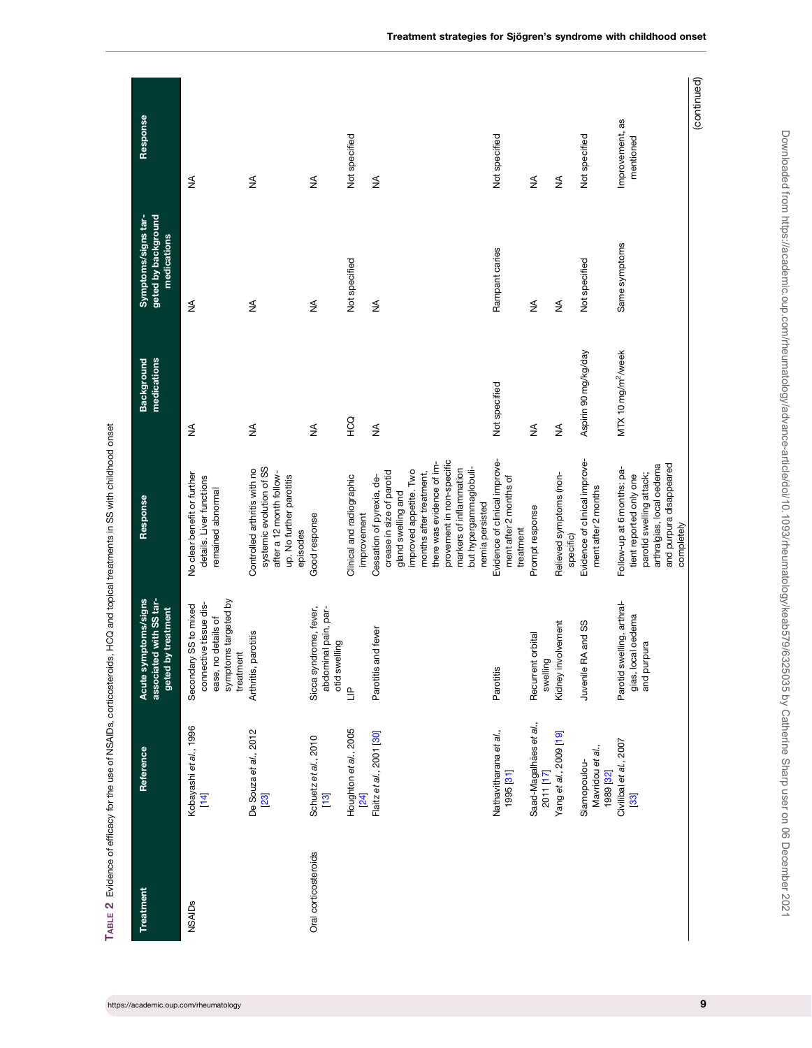<span id="page-8-0"></span>

| Treatment            | Reference                                                       | mptoms/signs<br>associated with SS tar-<br>by treatment<br><b>Acute sy</b><br>geted b                       | Response                                                                                                                                                                                                                                                            | medications<br><b>Background</b> | geted by background<br>Symptoms/signs tar-<br>medications | Response                     |
|----------------------|-----------------------------------------------------------------|-------------------------------------------------------------------------------------------------------------|---------------------------------------------------------------------------------------------------------------------------------------------------------------------------------------------------------------------------------------------------------------------|----------------------------------|-----------------------------------------------------------|------------------------------|
| <b>NSAIDs</b>        | Kobayashi et al., 1996<br>$[14]$                                | symptoms targeted by<br>connective tissue dis-<br>Secondary SS to mixed<br>ease, no details of<br>treatment | No clear benefit or further<br>details. Liver functions<br>remained abnormal                                                                                                                                                                                        | ₹                                | ≨                                                         | ₹                            |
|                      | De Souza et al., 2012<br><b>23</b>                              | Arthritis, parotitis                                                                                        | systemic evolution of SS<br>Controlled arthritis with no<br>after a 12 month follow-<br>up. No further parotitis<br>episodes                                                                                                                                        | ≸                                | ≸                                                         | ≸                            |
| Oral corticosteroids | Schuetz et al., 2010<br>$\begin{bmatrix} 13 \\ 1 \end{bmatrix}$ | Sicca syndrome, fever,<br>abdominal pain, par-<br>otid swelling                                             | Good response                                                                                                                                                                                                                                                       | ≸                                | $\frac{1}{2}$                                             | ≸                            |
|                      | Houghton et al., 2005<br>[24]                                   | $\overline{=}$                                                                                              | Clinical and radiographic<br>improvement                                                                                                                                                                                                                            | ЯÖН                              | Not specified                                             | Not specified                |
|                      | Flaitz et al., 2001 [30]                                        | Parotitis and fever                                                                                         | provement in non-specific<br>there was evidence of im-<br>but hypergammaglobuli-<br>markers of inflammation<br>improved appetite. Two<br>crease in size of parotid<br>months after treatment,<br>Cessation of pyrexia, de-<br>gland swelling and<br>nemia persisted | ≸                                | $\lessgtr$                                                | $\lessgtr$                   |
|                      | Nathavitharana et al.,<br>1995 [31]                             | Parotitis                                                                                                   | Evidence of clinical improve-<br>ment after 2 months of<br>treatment                                                                                                                                                                                                | Not specified                    | Rampant caries                                            | Not specified                |
|                      | Saad-Magalhães et al.,<br>2011 [17]                             | orbital<br>swelling<br>Recurrent                                                                            | Prompt response                                                                                                                                                                                                                                                     | ≸                                | ≸                                                         | ≸                            |
|                      | Yang et al., 2009 [19]                                          | Kidney involvement                                                                                          | Relieved symptoms (non-<br>specific)                                                                                                                                                                                                                                | ≸                                | ≸                                                         | ≸                            |
|                      | Mavridou et al.,<br>Siamopoulou-<br>1989 [32]                   | Juvenile RA and SS                                                                                          | Evidence of clinical improve-<br>ment after 2 months                                                                                                                                                                                                                | Aspirin 90 mg/kg/day             | Not specified                                             | Not specified                |
|                      | Civilibal et al., 2007<br>[33]                                  | Parotid swelling, arthral-<br>gias, local oedema<br>pura<br>and pur                                         | arthralgias, local oedema<br>and purpura disappeared<br>Follow-up at 6 months: pa-<br>parotid swelling attack;<br>tient reported only one<br>completely                                                                                                             | MTX 10 mg/m <sup>2</sup> /week   | Same symptoms                                             | Improvement, as<br>mentioned |
|                      |                                                                 |                                                                                                             |                                                                                                                                                                                                                                                                     |                                  |                                                           | (continued)                  |

TABLE 2 Evidence of efficacy for the use of NSAIDs, corticosteroids, HCQ and topical treatments in SS with childhood onset TABLE 2 Evidence of efficacy for the use of NSAIDs, corticosteroids, HCQ and topical treatments in SS with childhood onset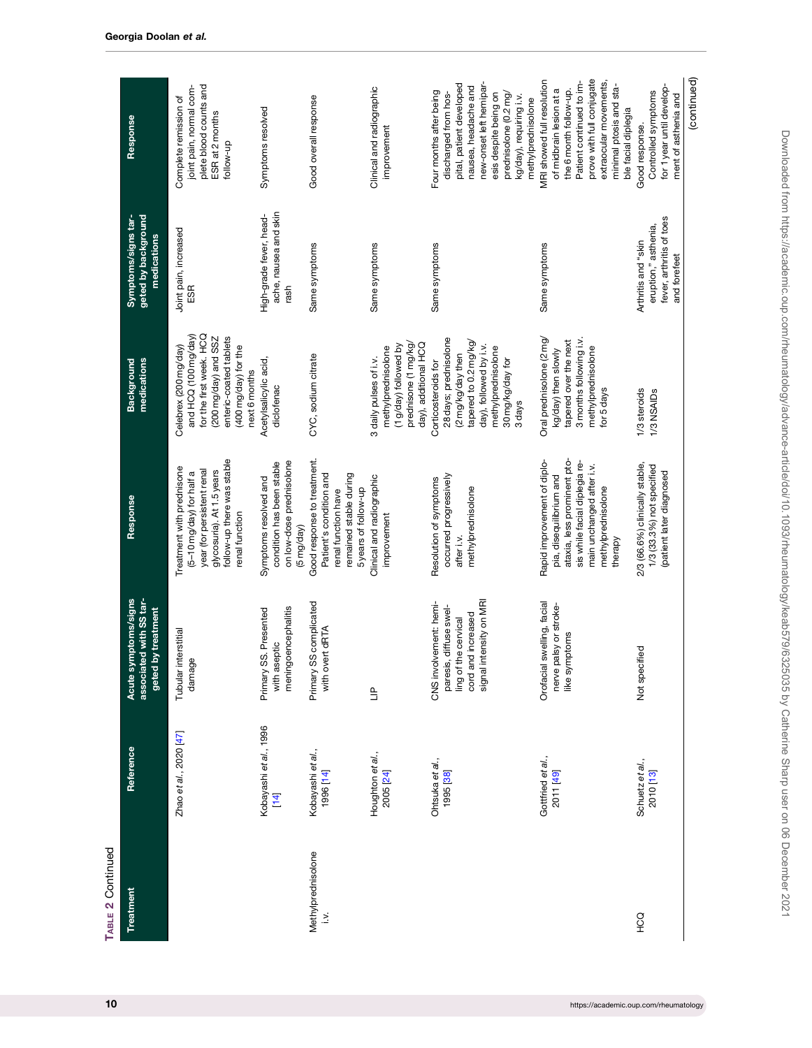| TABLE 2 Continued            |                                  |                                                                                                                           |                                                                                                                                                                                      |                                                                                                                                                                               |                                                                                         |                                                                                                                                                                                                                                   |
|------------------------------|----------------------------------|---------------------------------------------------------------------------------------------------------------------------|--------------------------------------------------------------------------------------------------------------------------------------------------------------------------------------|-------------------------------------------------------------------------------------------------------------------------------------------------------------------------------|-----------------------------------------------------------------------------------------|-----------------------------------------------------------------------------------------------------------------------------------------------------------------------------------------------------------------------------------|
| Treatment                    | Reference                        | mptoms/signs<br>ed with SS tar-<br>by treatment<br>Acute sy<br>associat<br>geted                                          | Response                                                                                                                                                                             | medications<br><b>Background</b>                                                                                                                                              | geted by background<br>Symptoms/signs tar-<br>medications                               | Response                                                                                                                                                                                                                          |
|                              | Zhao et al., 2020 [47]           | Tubular interstitial<br>damage                                                                                            | follow-up there was stable<br>Treatment with prednisone<br>year (for persistent renal<br>glycosuria). At 1.5 years<br>$(5-10$ mg/day) for half a<br>renal function                   | for the first week. HCQ<br>and HCQ (100 mg/day)<br>enteric-coated tablets<br>$(200 \text{ mg/day})$ and SSZ<br>Celebrex (200 mg/day)<br>(400 mg/day) for the<br>next 6 months | Joint pain, increased<br>ESR                                                            | plete blood counts and<br>joint pain, normal com-<br>Complete remission of<br>ESR at 2 months<br>follow-up                                                                                                                        |
|                              | Kobayashi et al., 1996<br>$[14]$ | meningoencephalitis<br>Primary SS. Presented<br>with aseptic                                                              | on low-dose prednisolone<br>condition has been stable<br>Symptoms resolved and<br>(5 mg/day)                                                                                         | Acetylsalicylic acid,<br>diclofenac                                                                                                                                           | ache, nausea and skin<br>High-grade fever, head-<br>$r$ ash                             | Symptoms resolved                                                                                                                                                                                                                 |
| Methylprednisolone<br>$\leq$ | Kobayashi et al.,<br>1996 [14]   | Primary SS complicated<br>with overt dRTA                                                                                 | Good response to treatment.<br>Patient's condition and<br>remained stable during<br>5years of follow-up<br>renal function have                                                       | CYC, sodium citrate                                                                                                                                                           | Same symptoms                                                                           | Good overall response                                                                                                                                                                                                             |
|                              | Houghton et al.,<br>2005 [24]    | $\mathbf{r}$                                                                                                              | Clinical and radiographic<br>improvement                                                                                                                                             | prednisone (1 mg/kg/<br>day), additional HCQ<br>(1 g/day) followed by<br>methylprednisolone<br>3 daily pulses of i.v.                                                         | Same symptoms                                                                           | Clinical and radiographic<br>improvement                                                                                                                                                                                          |
|                              | Ohtsuka et al.,<br>1995 [38]     | signal intensity on MRI<br>CNS involvement: hemi-<br>paresis, diffuse swel-<br>cord and increased<br>ling of the cervical | occurred progressively<br>Resolution of symptoms<br>methylprednisolone<br>after i.v.                                                                                                 | 28 days; prednisolone<br>tapered to 0.2 mg/kg/<br>day), followed by i.v.<br>methylprednisolone<br>(2 mg/kg/day then<br>30 mg/kg/day for<br>Corticosteroids for<br>3 days      | Same symptoms                                                                           | new-onset left hemipar-<br>pital, patient developed<br>nausea, headache and<br>Four months after being<br>discharged from hos-<br>esis despite being on<br>prednisolone (0.2 mg/<br>kg/day), requiring i.v.<br>methylprednisolone |
|                              | Gottfried et al.,<br>2011 [49]   | swelling, facial<br>nerve palsy or stroke-<br>like symptoms<br>Orofacial                                                  | ataxia, less prominent pto-<br>Rapid improvement of diplo-<br>sis while facial diplegia re-<br>main unchanged after i.v.<br>pia, disequilibrium and<br>methylprednisolone<br>therapy | Oral prednisolone (2 mg/<br>3 months following i.v.<br>tapered over the next<br>methylprednisolone<br>kg/day) then slowly<br>for 5 days                                       | Same symptoms                                                                           | prove with full conjugate<br>MRI showed full resolution<br>extraocular movements,<br>Patient continued to im-<br>minimal ptosis and sta-<br>of midbrain lesion at a<br>the 6 month follow-up.<br>ble facial diplegia              |
| <b>COH</b>                   | Schuetz et al.,<br>2010 [13]     | Not specified                                                                                                             | 2/3 (66.6%) clinically stable,<br>1/3 (33.3%) not specified<br>(patient later diagnosed                                                                                              | 1/3 steroids<br>1/3 NSAIDs                                                                                                                                                    | fever, arthritis of toes<br>eruption," asthenia,<br>Arthritis and "skin<br>and forefeet | for 1 year until develop-<br>Controlled symptoms<br>ment of asthenia and<br>Good response.                                                                                                                                        |
|                              |                                  |                                                                                                                           |                                                                                                                                                                                      |                                                                                                                                                                               |                                                                                         | (continued)                                                                                                                                                                                                                       |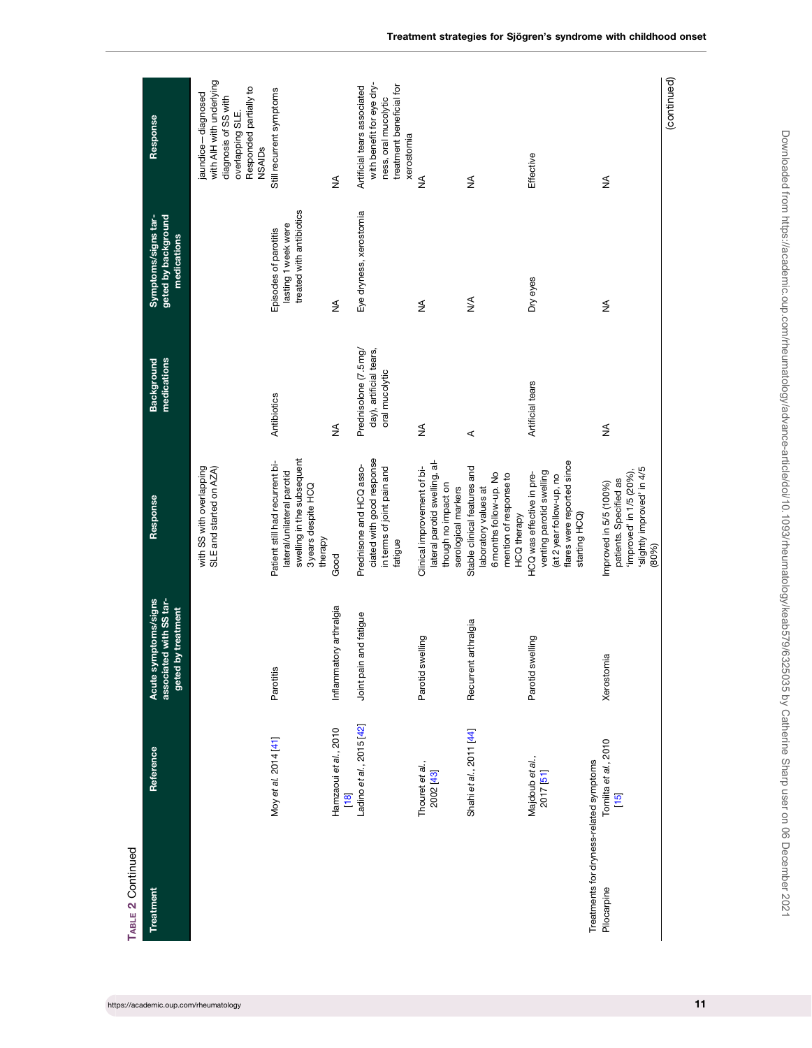| TABLE 2 Continued                                      |                                 |                                                                       |                                                                                                                                  |                                                                    |                                                                          |                                                                                                                                       |
|--------------------------------------------------------|---------------------------------|-----------------------------------------------------------------------|----------------------------------------------------------------------------------------------------------------------------------|--------------------------------------------------------------------|--------------------------------------------------------------------------|---------------------------------------------------------------------------------------------------------------------------------------|
| <b>Treatment</b>                                       | Reference                       | Acute symptoms/signs<br>associated with SS tar-<br>geted by treatment | Response                                                                                                                         | medications<br><b>Background</b>                                   | geted by background<br>Symptoms/signs tar-<br>medications                | Response                                                                                                                              |
|                                                        |                                 |                                                                       | with SS with overlapping<br>SLE and started on AZA)                                                                              |                                                                    |                                                                          | with AIH with underlying<br>Responded partially to<br>jaundice-diagnosed<br>diagnosis of SS with<br>overlapping SLE.<br><b>NSAIDs</b> |
|                                                        | Moy et al. 2014 [41]            | Parotitis                                                             | swelling in the subsequent<br>Patient still had recurrent bi-<br>lateral/unilateral parotid<br>3 years despite HCQ<br>therapy    | Antibiotics                                                        | treated with antibiotics<br>lasting 1 week were<br>Episodes of parotitis | Still recurrent symptoms                                                                                                              |
|                                                        | Hamzaoui et al., 2010<br>$[18]$ | Inflammatory arthralgia                                               | Good                                                                                                                             | ≸                                                                  | ≸                                                                        | ≸                                                                                                                                     |
|                                                        | Ladino et al., 2015 [42]        | Joint pain and fatigue                                                | ciated with good response<br>Prednisone and HCQ asso-<br>in terms of joint pain and<br>fatigue                                   | Prednisolone (7.5 mg/<br>day), artificial tears,<br>oral mucolytic | Eye dryness, xerostomia                                                  | with benefit for eye dry-<br>treatment beneficial for<br>Artificial tears associated<br>ness, oral mucolytic<br>xerostomia            |
|                                                        | Thouret et al.,<br>2002 [43]    | swelling<br>Parotid                                                   | lateral parotid swelling, al-<br>Clinical improvement of bi-<br>though no impact on<br>serological markers                       | ≸                                                                  | $\frac{4}{2}$                                                            | ≸                                                                                                                                     |
|                                                        | Shahi et al., 2011 [44]         | Recurrent arthralgia                                                  | Stable clinical features and<br>6 months follow-up. No<br>mention of response to<br>laboratory values at<br><b>HCQ</b> therapy   | $\prec$                                                            | $\frac{4}{2}$                                                            | ≸                                                                                                                                     |
|                                                        | Majdoub et al.,<br>2017 [51]    | swelling<br>Parotid                                                   | flares were reported since<br>venting parotid swelling<br>HCQ was effective in pre-<br>(at 2 year follow-up, no<br>starting HCQ) | Artificial tears                                                   | Dry eyes                                                                 | Effective                                                                                                                             |
| Treatments for dryness-related symptoms<br>Pilocarpine | Tomiita et al., 2010<br>$[15]$  | Xerostomia                                                            | slightly improved' in 4/5<br>improved' in 1/5 (20%),<br>patients. Specified as<br>Improved in 5/5 (100%)<br>(80%)                | ≸                                                                  | ⋚                                                                        | ≸                                                                                                                                     |
|                                                        |                                 |                                                                       |                                                                                                                                  |                                                                    |                                                                          | (continued)                                                                                                                           |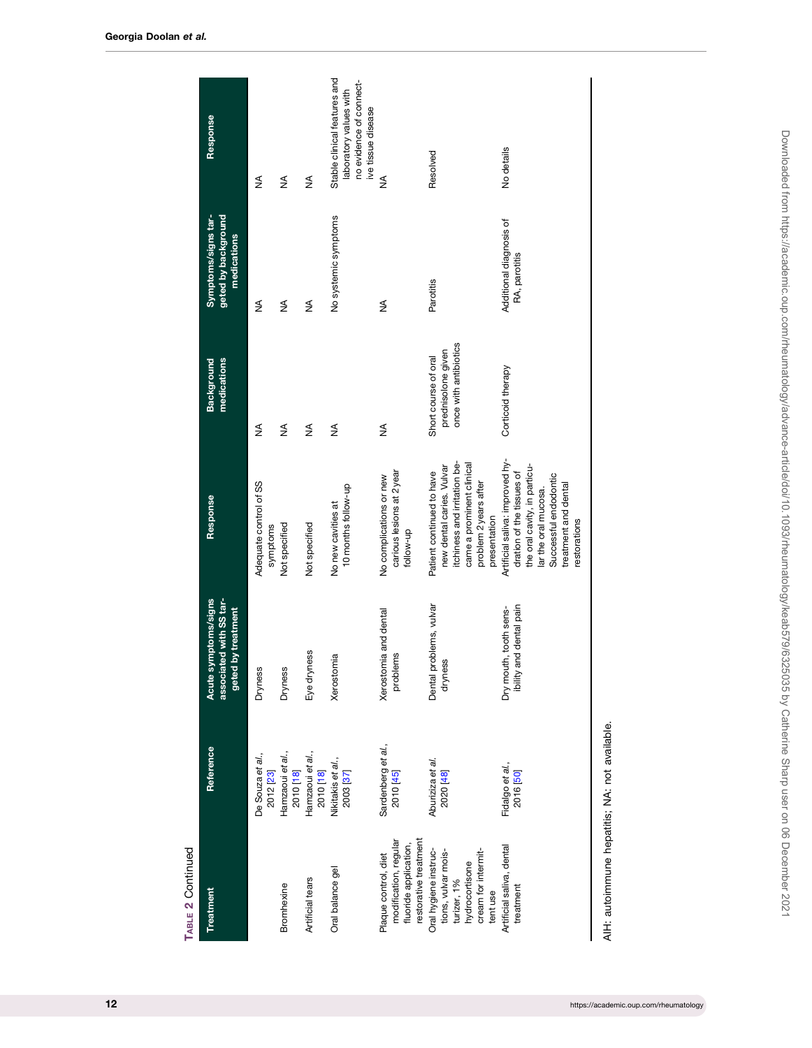| TABLE 2 Continued                                                                                                |                                 |                                                                          |                                                                                                                                                                                       |                                                                     |                                                           |                                                                                                         |
|------------------------------------------------------------------------------------------------------------------|---------------------------------|--------------------------------------------------------------------------|---------------------------------------------------------------------------------------------------------------------------------------------------------------------------------------|---------------------------------------------------------------------|-----------------------------------------------------------|---------------------------------------------------------------------------------------------------------|
| Treatment                                                                                                        | Reference                       | associated with SS tar-<br>Acute symptoms/signs<br>by treatment<br>geted | Response                                                                                                                                                                              | medications<br>Background                                           | geted by background<br>Symptoms/signs tar-<br>medications | Response                                                                                                |
|                                                                                                                  | De Souza et al.,<br>2012 [23]   | <b>Dryness</b>                                                           | Adequate control of SS<br>symptoms                                                                                                                                                    | ≸                                                                   | ≸                                                         | ≸                                                                                                       |
| Bromhexine                                                                                                       | Hamzaoui et al.,<br>2010 [18]   | <b>Dryness</b>                                                           | Not specified                                                                                                                                                                         | ≸                                                                   | $\frac{1}{2}$                                             | ≸                                                                                                       |
| Artificial tears                                                                                                 | Hamzaoui et al.,<br>2010 [18]   | Eye dryness                                                              | Not specified                                                                                                                                                                         | ≸                                                                   | ≸                                                         | ≸                                                                                                       |
| Oral balance gel                                                                                                 | Nikitakis et al.,<br>2003 [37]  | Xerostomia                                                               | 10 months follow-up<br>No new cavities at                                                                                                                                             | ₹                                                                   | No systemic symptoms                                      | Stable clinical features and<br>no evidence of connect-<br>laboratory values with<br>ive tissue disease |
| restorative treatment<br>modification, regular<br>fluoride application,<br>Plaque control, diet                  | Sardenberg et al.,<br>2010 [45] | Xerostomia and dental<br>problems                                        | carious lesions at 2 year<br>No complications or new<br>follow-up                                                                                                                     | ≸                                                                   | ≸                                                         | ≸                                                                                                       |
| Oral hygiene instruc-<br>cream for intermit-<br>tions, vulvar mois-<br>hydrocortisone<br>turizer, 1%<br>tent use | Aburiziza et al.<br>2020 [48]   | Dental problems, vulvar<br>dryness                                       | itchiness and irritation be-<br>came a prominent clinical<br>new dental caries. Vulvar<br>Patient continued to have<br>problem 2 years after<br>presentation                          | once with antibiotics<br>prednisolone given<br>Short course of oral | Parotitis                                                 | Resolved                                                                                                |
| Artificial saliva, dental<br>treatment                                                                           | Fidalgo et al.,<br>2016 [50]    | ibility and dental pain<br>Dry mouth, tooth sens-                        | Artificial saliva: improved hy-<br>the oral cavity, in particu-<br>dration of the tissues of<br>Successful endodontic<br>treatment and dental<br>lar the oral mucosa.<br>restorations | Corticoid therapy                                                   | Additional diagnosis of<br>RA, parotitis                  | No details                                                                                              |
| AIH: autoimmune hepatitis; NA: not available.                                                                    |                                 |                                                                          |                                                                                                                                                                                       |                                                                     |                                                           |                                                                                                         |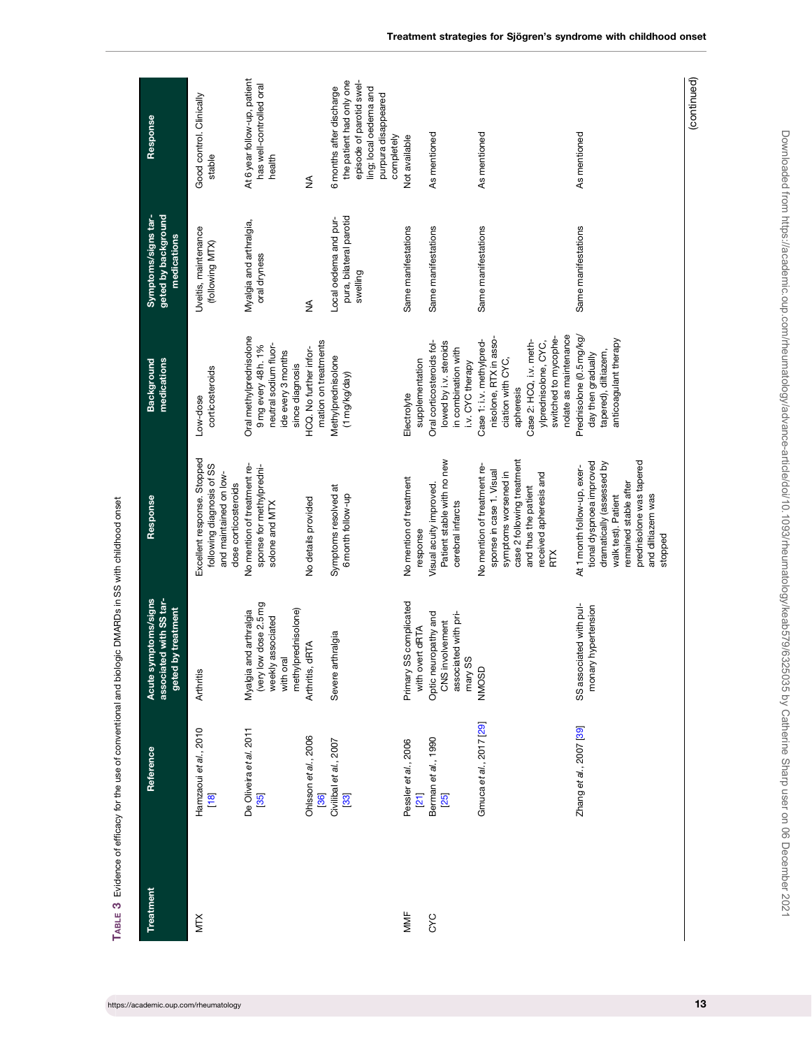<span id="page-12-0"></span>

| Treatment  | Reference                               | associated with SS tar-<br>mptoms/signs<br>by treatment<br>geted b<br>Acute sy                           | Response                                                                                                                                                                                         | medications<br><b>Background</b>                                                                                                                                                        | geted by background<br>Symptoms/signs tar-<br>medications    | Response                                                                                                                                        |
|------------|-----------------------------------------|----------------------------------------------------------------------------------------------------------|--------------------------------------------------------------------------------------------------------------------------------------------------------------------------------------------------|-----------------------------------------------------------------------------------------------------------------------------------------------------------------------------------------|--------------------------------------------------------------|-------------------------------------------------------------------------------------------------------------------------------------------------|
| <b>NIX</b> | Hamzaoui et al., 2010<br>[18]           | Arthritis                                                                                                | Excellent response. Stopped<br>following diagnosis of SS<br>and maintained on low-<br>dose corticosteroids                                                                                       | corticosteroids<br>Low-dose                                                                                                                                                             | Uveitis, maintenance<br>(following MTX)                      | Good control. Clinically<br>stable                                                                                                              |
|            | De Oliveira et al. 2011<br>[35]         | (very low dose 2.5 mg<br>methylprednisolone)<br>Myalgia and arthralgia<br>weekly associated<br>with oral | No mention of treatment re-<br>sponse for methylpredni-<br>solone and MTX                                                                                                                        | Oral methylprednisolone<br>neutral sodium fluor-<br>9 mg every 48 h. 1%<br>ide every 3 months<br>since diagnosis                                                                        | Myalgia and arthralgia,<br>oral dryness                      | At 6 year follow-up, patient<br>has well-controlled oral<br>health                                                                              |
|            | Ohlsson et al., 2006<br>[36]            | Arthritis, dRTA                                                                                          | No details provided                                                                                                                                                                              | mation on treatments<br>HCQ. No further infor-                                                                                                                                          | $\frac{1}{2}$                                                | ≸                                                                                                                                               |
|            | Civilibal et al., 2007<br>[33]          | thralgia<br>Severe a                                                                                     | Symptoms resolved at<br>6 month follow-up                                                                                                                                                        | Methylprednisolone<br>(1 mg/kg/day)                                                                                                                                                     | pura, bilateral parotid<br>Local oedema and pur-<br>swelling | the patient had only one<br>episode of parotid swel-<br>6 months after discharge<br>ling; local oedema and<br>purpura disappeared<br>completely |
| MMF        | Pessler et al., 2006<br>$\overline{21}$ | Primary SS complicated<br>with overt dRTA                                                                | No mention of treatment<br>response                                                                                                                                                              | supplementation<br>Electrolyte                                                                                                                                                          | Same manifestations                                          | Not available                                                                                                                                   |
| CYC        | Berman et al., 1990<br>[25]             | Optic neuropathy and<br>associated with pri-<br>CNS involvement<br>mary SS                               | Patient stable with no new<br>Visual acuity improved.<br>cerebral infarcts                                                                                                                       | Oral corticosteroids fol-<br>lowed by i.v. steroids<br>in combination with<br>i.v. CYC therapy                                                                                          | Same manifestations                                          | As mentioned                                                                                                                                    |
|            | Gmuca et al., 2017 [29]                 | NMOSD                                                                                                    | case 2 following treatment<br>No mention of treatment re-<br>sponse in case 1. Visual<br>symptoms worsened in<br>received apheresis and<br>and thus the patient<br>Ř                             | nolate as maintenance<br>switched to mycophe-<br>nisolone, RTX in asso-<br>Case 1:i.v. methylpred-<br>Case 2: HCQ, i.v. meth-<br>ylprednisolone, CYC,<br>ciation with CYC,<br>apheresis | Same manifestations                                          | As mentioned                                                                                                                                    |
|            | Zhang et al., 2007 [39]                 | SS associated with pul-<br>monary hypertension                                                           | prednisolone was tapered<br>tional dyspnoea improved<br>dramatically (assessed by<br>At 1 month follow-up, exer-<br>remained stable after<br>and diltiazem was<br>walk test). Patient<br>stopped | Prednisolone (0.5 mg/kg/<br>anticoagulant therapy<br>tapered), diltiazem,<br>day then gradually                                                                                         | Same manifestations                                          | As mentioned                                                                                                                                    |
|            |                                         |                                                                                                          |                                                                                                                                                                                                  |                                                                                                                                                                                         |                                                              | (continued)                                                                                                                                     |

TABLE 3 Evidence of efficacy for the use of conventional and biologic DMARDs in SS with childhood onset TABLE 3 Evidence of efficacy for the use of conventional and biologic DMARDs in SS with childhood onset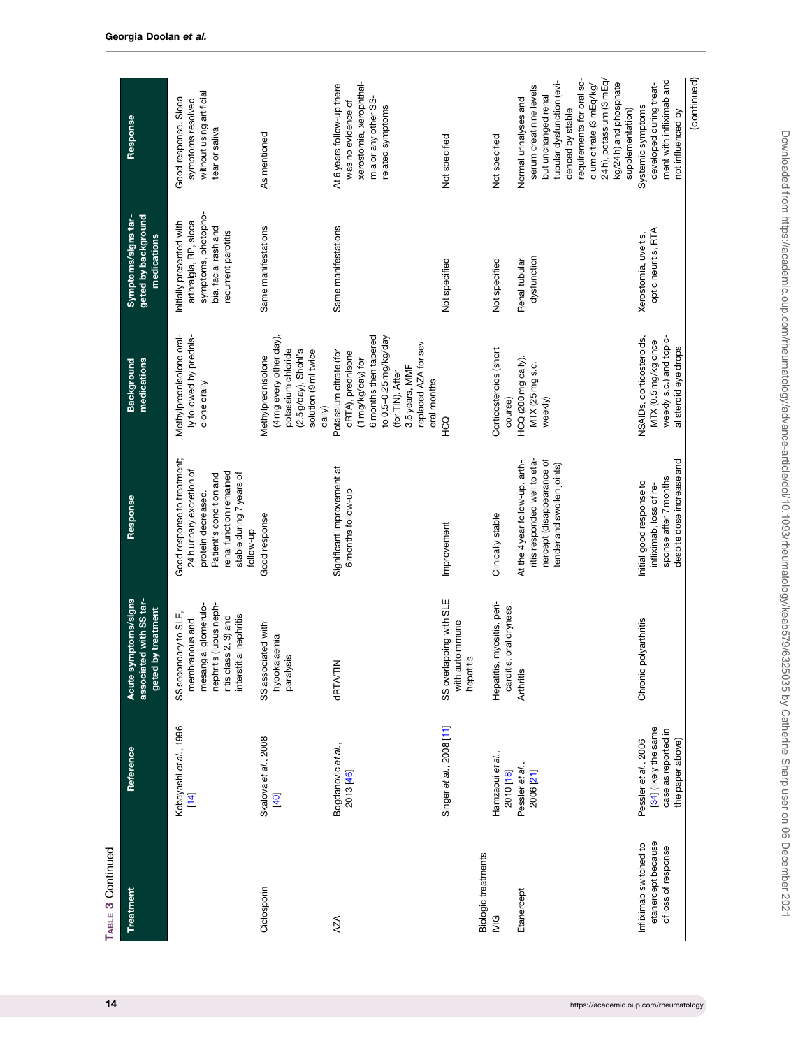| TABLE 3 Continued                                                   |                                                                                          |                                                                                                                                             |                                                                                                                                                                              |                                                                                                                                                                                                  |                                                                                                                         |                                                                                                                                                                                                                                                           |
|---------------------------------------------------------------------|------------------------------------------------------------------------------------------|---------------------------------------------------------------------------------------------------------------------------------------------|------------------------------------------------------------------------------------------------------------------------------------------------------------------------------|--------------------------------------------------------------------------------------------------------------------------------------------------------------------------------------------------|-------------------------------------------------------------------------------------------------------------------------|-----------------------------------------------------------------------------------------------------------------------------------------------------------------------------------------------------------------------------------------------------------|
| Treatment                                                           | Reference                                                                                | ed with SS tar-<br>mptoms/signs<br>by treatment<br>Acute <sub>s</sub><br>associat<br>geted                                                  | Response                                                                                                                                                                     | medications<br>Background                                                                                                                                                                        | geted by background<br>Symptoms/signs tar-<br>medications                                                               | Response                                                                                                                                                                                                                                                  |
|                                                                     | Kobayashi et al., 1996<br>$\overline{14}$                                                | mesangial glomerulo-<br>nephritis (lupus neph-<br>SS secondary to SLE,<br>interstitial nephritis<br>ritis class 2, 3) and<br>membranous and | Good response to treatment;<br>24h urinary excretion of<br>renal function remained<br>stable during 7 years of<br>Patient's condition and<br>protein decreased.<br>qn-wollot | Methylprednisolone oral-<br>ly followed by prednis-<br>olone orally                                                                                                                              | symptoms, photopho-<br>arthralgia, RP, sicca<br>Initially presented with<br>bia, facial rash and<br>recurrent parotitis | without using artificial<br>Good response. Sicca<br>symptoms resolved<br>tear or saliva                                                                                                                                                                   |
| Ciclosporin                                                         | Skalova et al., 2008<br>[40]                                                             | SS associated with<br>hypokalaemia<br>paralysis                                                                                             | Good response                                                                                                                                                                | (4 mg every other day),<br>potassium chloride<br>(2.5 g/day), Shohl's<br>solution (9 ml twice<br>Methylprednisolone<br>daily)                                                                    | Same manifestations                                                                                                     | As mentioned                                                                                                                                                                                                                                              |
| AZA                                                                 | Bogdanovic et al.,<br>2013 [46]                                                          | <b>GRTA/TIN</b>                                                                                                                             | Significant improvement at<br>6 months follow-up                                                                                                                             | 6 months then tapered<br>to 0.5-0.25 mg/kg/day<br>replaced AZA for sev-<br>Potassium citrate (for<br>dRTA), prednisone<br>(1 mg/kg/day) for<br>3.5 years, MMF<br>(for TIN). After<br>eral months | Same manifestations                                                                                                     | xerostomia, xerophthal-<br>At 6 years follow-up there<br>mia or any other SS-<br>was no evidence of<br>related symptoms                                                                                                                                   |
| Biologic treatments                                                 | Singer et al., 2008 [11]                                                                 | SS overlapping with SLE<br>with autoimmune<br>$\overline{a}$<br>hepatit                                                                     | Improvement                                                                                                                                                                  | COH                                                                                                                                                                                              | Not specified                                                                                                           | Not specified                                                                                                                                                                                                                                             |
| ΙVIG                                                                | Hamzaoui et al.,<br>2010 [18]                                                            | Hepatitis, myositis, peri-<br>carditis, oral dryness                                                                                        | Clinically stable                                                                                                                                                            | Corticosteroids (short<br>course)                                                                                                                                                                | Not specified                                                                                                           | Not specified                                                                                                                                                                                                                                             |
| Etanercept                                                          | Pessler et al.,<br>2006 [21]                                                             | <b>Arthritis</b>                                                                                                                            | ritis responded well to eta-<br>nercept (disappearance of<br>At the 4 year follow-up, arth-<br>tender and swollen joints)                                                    | HCQ (200 mg daily),<br>MTX (25 mg s.c.<br>weekly)                                                                                                                                                | dysfunction<br>Renal tubular                                                                                            | 24h), potassium (3 mEq/<br>requirements for oral so-<br>tubular dysfunction (evi-<br>kg/24 h) and phosphate<br>dium citrate (3 mEq/kg/<br>serum creatinine levels<br>but unchanged renal<br>Normal urinalyses and<br>denced by stable<br>supplementation) |
| etanercept because<br>Infliximab switched to<br>of loss of response | [34] (likely the same<br>case as reported in<br>the paper above)<br>Pessler et al., 2006 | Chronic polyarthritis                                                                                                                       | despite dose increase and<br>sponse after 7 months<br>Initial good response to<br>infliximab, loss of re-                                                                    | weekly s.c.) and topic-<br>NSAIDs, corticosteroids,<br>MTX (0.5 mg/kg once<br>al steroid eye drops                                                                                               | optic neuritis, RTA<br>Xerostomia, uveitis,                                                                             | ment with infliximab and<br>developed during treat-<br>Systemic symptoms<br>not influenced by                                                                                                                                                             |
|                                                                     |                                                                                          |                                                                                                                                             |                                                                                                                                                                              |                                                                                                                                                                                                  |                                                                                                                         | (continued)                                                                                                                                                                                                                                               |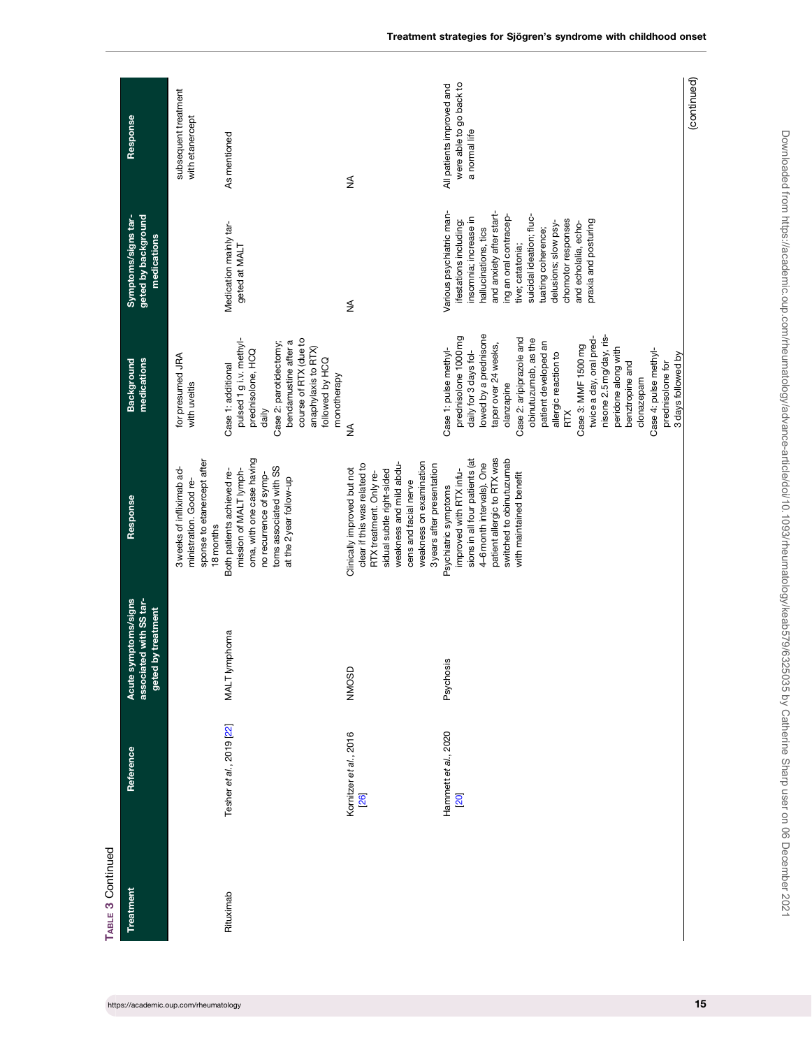| TABLE 3 Continued |                                |                                                                                |                                                                                                                                                                                                                                  |                                                                                                                                                                                                                                                                                                                                                                                                                                                          |                                                                                                                                                                                                                                                                                                                               |                                                                       |
|-------------------|--------------------------------|--------------------------------------------------------------------------------|----------------------------------------------------------------------------------------------------------------------------------------------------------------------------------------------------------------------------------|----------------------------------------------------------------------------------------------------------------------------------------------------------------------------------------------------------------------------------------------------------------------------------------------------------------------------------------------------------------------------------------------------------------------------------------------------------|-------------------------------------------------------------------------------------------------------------------------------------------------------------------------------------------------------------------------------------------------------------------------------------------------------------------------------|-----------------------------------------------------------------------|
| Treatment         | Reference                      | ed with SS tar-<br>mptoms/signs<br>geted by treatment<br>associate<br>Acute sy | Response                                                                                                                                                                                                                         | medications<br>Background                                                                                                                                                                                                                                                                                                                                                                                                                                | geted by background<br>Symptoms/signs tar-<br>medications                                                                                                                                                                                                                                                                     | Response                                                              |
|                   |                                |                                                                                | sponse to etanercept after<br>3 weeks of infliximab ad-<br>ministration. Good re-<br>18 months                                                                                                                                   | for presumed JRA<br>with uveitis                                                                                                                                                                                                                                                                                                                                                                                                                         |                                                                                                                                                                                                                                                                                                                               | subsequent treatment<br>with etanercept                               |
| Rituximab         | Tesher et al., 2019 [22]       | phoma<br>MALT lym                                                              | oma, with one case having<br>toms associated with SS<br>mission of MALT lymph-<br>Both patients achieved re-<br>no recurrence of symp-<br>at the 2 year follow-up                                                                | pulsed 1 g i.v. methyl-<br>course of RTX (due to<br>bendamustine after a<br>Case 2: parotidectomy;<br>anaphylaxis to RTX)<br>prednisolone, HCQ<br>followed by HCQ<br>Case 1: additional<br>monotherapy<br>daily                                                                                                                                                                                                                                          | Medication mainly tar-<br>geted at MALT                                                                                                                                                                                                                                                                                       | As mentioned                                                          |
|                   | Kornitzer et al., 2016<br>[26] | NMOSD                                                                          | weakness on examination<br>weakness and mild abdu-<br>clear if this was related to<br>3 years after presentation<br>Clinically improved but not<br>sidual subtle right-sided<br>RTX treatment. Only re-<br>cens and facial nerve | ≸                                                                                                                                                                                                                                                                                                                                                                                                                                                        | ≸                                                                                                                                                                                                                                                                                                                             | ≸                                                                     |
|                   | Hammett et al., 2020<br>[20]   | Psychosis                                                                      | sions in all four patients (at<br>patient allergic to RTX was<br>switched to obinutuzumab<br>4-6 month intervals). One<br>improved with RTX infu-<br>with maintained benefit<br>Psychiatric symptoms                             | lowed by a prednisone<br>nisone 2.5 mg/day, ris-<br>prednisolone 1000 mg<br>twice a day, oral pred-<br>Case 2: aripiprazole and<br>obinutuzumab, as the<br>patient developed an<br>taper over 24 weeks,<br>Case 3: MMF 1500 mg<br>peridone along with<br>Case 1: pulse methyl-<br>Case 4: pulse methyl-<br>daily for 3 days fol-<br>allergic reaction to<br>3 days followed by<br>benztropine and<br>prednisolone for<br>clonazepam<br>olanzapine<br>RTX | Various psychiatric man-<br>and anxiety after start-<br>ing an oral contracep-<br>suicidal ideation; fluc-<br>insomnia; increase in<br>chomotor responses<br>ifestations including:<br>praxia and posturing<br>delusions; slow psy-<br>and echolalia, echo-<br>hallucinations, tics<br>tuating coherence;<br>tive; catatonia; | were able to go back to<br>All patients improved and<br>a normal life |
|                   |                                |                                                                                |                                                                                                                                                                                                                                  |                                                                                                                                                                                                                                                                                                                                                                                                                                                          |                                                                                                                                                                                                                                                                                                                               | (continued)                                                           |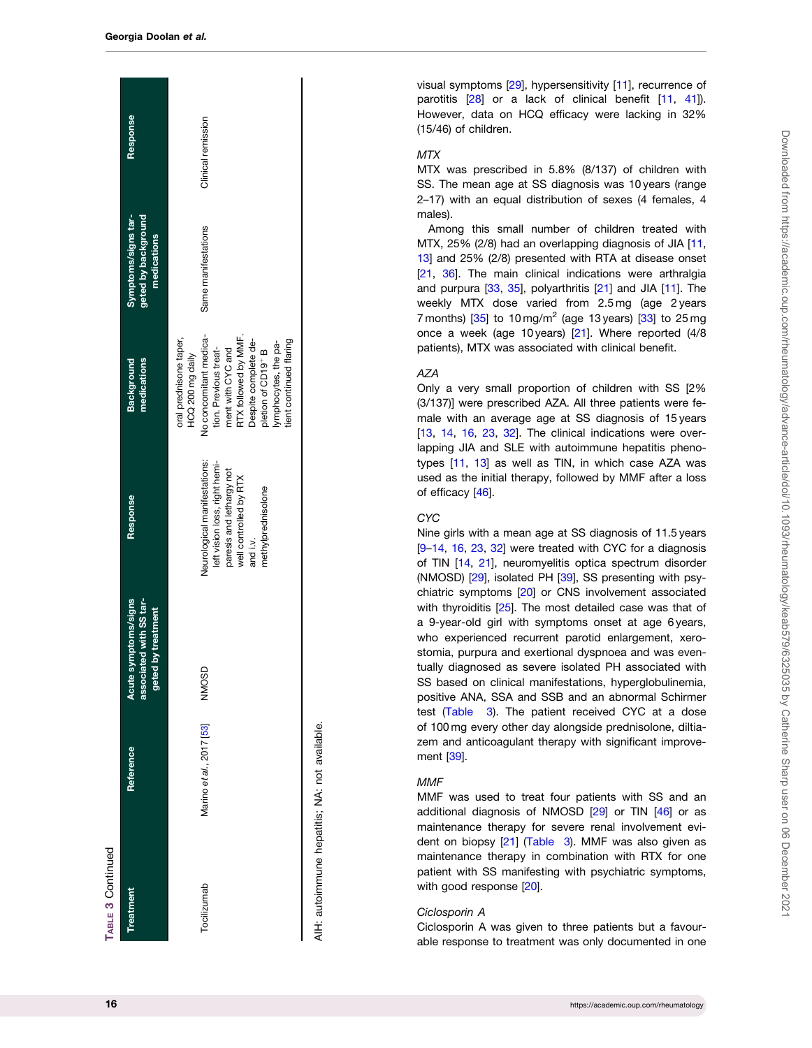| Treatment   | Reference                | mptoms/signs<br>associated with SS tar-<br>geted by treatment<br>Acute sy | <b>Response</b>                                                                                                                                       | medications<br>Background                                                                                                                                                                                                                               | Symptoms/signs tar-<br>geted by background<br>medications | Response           |
|-------------|--------------------------|---------------------------------------------------------------------------|-------------------------------------------------------------------------------------------------------------------------------------------------------|---------------------------------------------------------------------------------------------------------------------------------------------------------------------------------------------------------------------------------------------------------|-----------------------------------------------------------|--------------------|
| Tocilizumab | Marino et al., 2017 [53] | NMOSD                                                                     | Neurological manifestations:<br>left vision loss, right hemi-<br>paresis and lethargy not<br>well controlled by RTX<br>methylprednisolone<br>and i.v. | No concomitant medica-<br>RTX followed by MMF.<br>oral prednisone taper,<br>tient continued flaring<br>Despite complete de-<br>lymphocytes, the pa-<br>pletion of CD19 <sup>+</sup> B<br>tion. Previous treat-<br>ment with CYC and<br>HCQ 200 mg daily | Same manifestations                                       | Clinical remission |

AIH: autoimmune hepatitis; NA: not available. not available. .<br>≦ autoimmune hepatitis; 吉

visual symptoms [\[29\]](#page-19-0), hypersensitivity [[11](#page-18-0)], recurrence of parotitis [[28](#page-19-0)] or a lack of clinical benefit [[11](#page-18-0), [41](#page-19-0)]). However, data on HCQ efficacy were lacking in 32% (15/46) of children.

# MTX

MTX was prescribed in 5.8% (8/137) of children with SS. The mean age at SS diagnosis was 10 years (range 2–17) with an equal distribution of sexes (4 females, 4 males).

Among this small number of children treated with MTX, 25% (2/8) had an overlapping diagnosis of JIA [\[11](#page-18-0), [13](#page-19-0)] and 25% (2/8) presented with RTA at disease onset [[21](#page-19-0), [36](#page-19-0)]. The main clinical indications were arthralgia and purpura [[33](#page-19-0) , [35\]](#page-19-0), polyarthritis [[21\]](#page-19-0) and JIA [\[11\]](#page-18-0). The weekly MTX dose varied from 2.5 mg (age 2 years 7 months)  $[35]$  to 10 mg/m<sup>2</sup> (age 13 years)  $[33]$  to 25 mg once a week (age 10 years) [\[21\]](#page-19-0). Where reported (4/8 patients), MTX was associated with clinical benefit.

# AZA

Only a very small proportion of children with SS [2% (3/137)] were prescribed AZA. All three patients were female with an average age at SS diagnosis of 15 years [[13](#page-19-0), [14,](#page-19-0) [16,](#page-19-0) [23](#page-19-0), [32](#page-19-0)]. The clinical indications were overlapping JIA and SLE with autoimmune hepatitis phenotypes [[11](#page-18-0), [13](#page-19-0)] as well as TIN, in which case AZA was used as the initial therapy, followed by MMF after a loss of efficacy [\[46\]](#page-19-0).

# **CYC**

Nine girls with a mean age at SS diagnosis of 11.5 years [[9–](#page-18-0)[14](#page-19-0), [16,](#page-19-0) [23,](#page-19-0) [32\]](#page-19-0) were treated with CYC for a diagnosis of TIN [[14](#page-19-0) , [21\]](#page-19-0), neuromyelitis optica spectrum disorder (NMOSD) [[29](#page-19-0)], isolated PH [[39](#page-19-0)], SS presenting with psychiatric symptoms [[20\]](#page-19-0) or CNS involvement associated with thyroiditis [\[25\]](#page-19-0). The most detailed case was that of a 9-year-old girl with symptoms onset at age 6 years, who experienced recurrent parotid enlargement, xerostomia, purpura and exertional dyspnoea and was eventually diagnosed as severe isolated PH associated with SS based on clinical manifestations, hyperglobulinemia, positive ANA, SSA and SSB and an abnormal Schirmer test [\(Table 3\)](#page-12-0). The patient received CYC at a dose of 100 mg every other day alongside prednisolone, diltiazem and anticoagulant therapy with significant improvement [[39](#page-19-0)].

#### **MMF**

MMF was used to treat four patients with SS and an additional diagnosis of NMOSD [\[29\]](#page-19-0) or TIN [[46](#page-19-0)] or as maintenance therapy for severe renal involvement evident on biopsy [[21](#page-19-0)] [\(Table 3](#page-12-0)). MMF was also given as maintenance therapy in combination with RTX for one patient with SS manifesting with psychiatric symptoms, with good response [[20](#page-19-0)].

#### Ciclosporin A

Ciclosporin A was given to three patients but a favourable response to treatment was only documented in one

TABLE 3 Continued

**TABLE 3 Continued**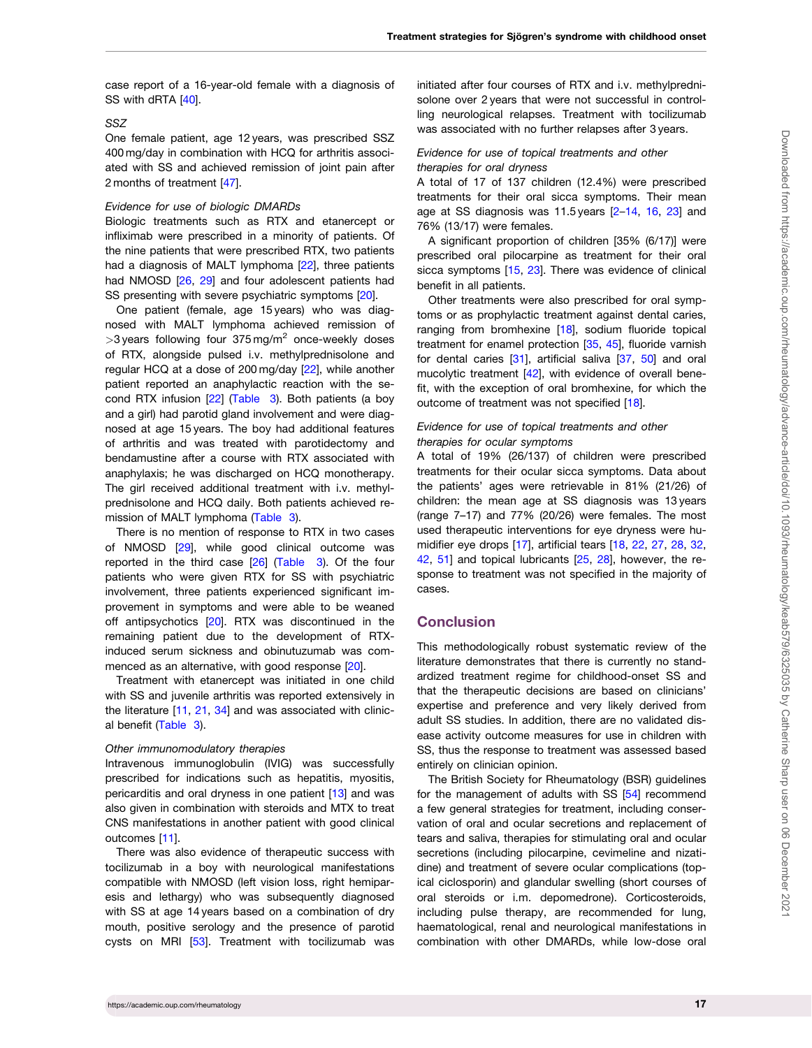<span id="page-16-0"></span>case report of a 16-year-old female with a diagnosis of SS with dRTA [[40](#page-19-0)].

#### SSZ

One female patient, age 12 years, was prescribed SSZ 400 mg/day in combination with HCQ for arthritis associated with SS and achieved remission of joint pain after 2 months of treatment [\[47\]](#page-19-0).

#### Evidence for use of biologic DMARDs

Biologic treatments such as RTX and etanercept or infliximab were prescribed in a minority of patients. Of the nine patients that were prescribed RTX, two patients had a diagnosis of MALT lymphoma [\[22](#page-19-0)], three patients had NMOSD [\[26,](#page-19-0) [29](#page-19-0)] and four adolescent patients had SS presenting with severe psychiatric symptoms [[20\]](#page-19-0).

One patient (female, age 15 years) who was diagnosed with MALT lymphoma achieved remission of  $>$ 3 years following four 375 mg/m<sup>2</sup> once-weekly doses of RTX, alongside pulsed i.v. methylprednisolone and regular HCQ at a dose of 200 mg/day [\[22\]](#page-19-0), while another patient reported an anaphylactic reaction with the second RTX infusion [[22\]](#page-19-0) [\(Table 3](#page-12-0)). Both patients (a boy and a girl) had parotid gland involvement and were diagnosed at age 15 years. The boy had additional features of arthritis and was treated with parotidectomy and bendamustine after a course with RTX associated with anaphylaxis; he was discharged on HCQ monotherapy. The girl received additional treatment with i.v. methylprednisolone and HCQ daily. Both patients achieved remission of MALT lymphoma ([Table 3\)](#page-12-0).

There is no mention of response to RTX in two cases of NMOSD [[29\]](#page-19-0), while good clinical outcome was reported in the third case [\[26\]](#page-19-0) ([Table 3\)](#page-12-0). Of the four patients who were given RTX for SS with psychiatric involvement, three patients experienced significant improvement in symptoms and were able to be weaned off antipsychotics [\[20\]](#page-19-0). RTX was discontinued in the remaining patient due to the development of RTXinduced serum sickness and obinutuzumab was commenced as an alternative, with good response [\[20\]](#page-19-0).

Treatment with etanercept was initiated in one child with SS and juvenile arthritis was reported extensively in the literature [[11,](#page-18-0) [21,](#page-19-0) [34](#page-19-0)] and was associated with clinical benefit ([Table 3\)](#page-12-0).

#### Other immunomodulatory therapies

Intravenous immunoglobulin (IVIG) was successfully prescribed for indications such as hepatitis, myositis, pericarditis and oral dryness in one patient [\[13\]](#page-19-0) and was also given in combination with steroids and MTX to treat CNS manifestations in another patient with good clinical outcomes [\[11\]](#page-18-0).

There was also evidence of therapeutic success with tocilizumab in a boy with neurological manifestations compatible with NMOSD (left vision loss, right hemiparesis and lethargy) who was subsequently diagnosed with SS at age 14 years based on a combination of dry mouth, positive serology and the presence of parotid cysts on MRI [\[53\]](#page-20-0). Treatment with tocilizumab was

initiated after four courses of RTX and i.v. methylprednisolone over 2 years that were not successful in controlling neurological relapses. Treatment with tocilizumab was associated with no further relapses after 3 years.

# Evidence for use of topical treatments and other therapies for oral dryness

A total of 17 of 137 children (12.4%) were prescribed treatments for their oral sicca symptoms. Their mean age at SS diagnosis was 11.5 years [[2](#page-18-0)–[14](#page-19-0), [16,](#page-19-0) [23](#page-19-0)] and 76% (13/17) were females.

A significant proportion of children [35% (6/17)] were prescribed oral pilocarpine as treatment for their oral sicca symptoms [\[15,](#page-19-0) [23\]](#page-19-0). There was evidence of clinical benefit in all patients.

Other treatments were also prescribed for oral symptoms or as prophylactic treatment against dental caries, ranging from bromhexine [\[18\]](#page-19-0), sodium fluoride topical treatment for enamel protection [\[35,](#page-19-0) [45\]](#page-19-0), fluoride varnish for dental caries [[31](#page-19-0)], artificial saliva [\[37,](#page-19-0) [50](#page-20-0)] and oral mucolytic treatment [\[42](#page-19-0)], with evidence of overall benefit, with the exception of oral bromhexine, for which the outcome of treatment was not specified [\[18\]](#page-19-0).

# Evidence for use of topical treatments and other therapies for ocular symptoms

A total of 19% (26/137) of children were prescribed treatments for their ocular sicca symptoms. Data about the patients' ages were retrievable in 81% (21/26) of children: the mean age at SS diagnosis was 13 years (range 7–17) and 77% (20/26) were females. The most used therapeutic interventions for eye dryness were hu-midifier eye drops [\[17](#page-19-0)], artificial tears [\[18,](#page-19-0) [22](#page-19-0), [27](#page-19-0), [28,](#page-19-0) [32,](#page-19-0) [42](#page-19-0), [51](#page-20-0)] and topical lubricants [\[25,](#page-19-0) [28](#page-19-0)], however, the response to treatment was not specified in the majority of cases.

# **Conclusion**

This methodologically robust systematic review of the literature demonstrates that there is currently no standardized treatment regime for childhood-onset SS and that the therapeutic decisions are based on clinicians' expertise and preference and very likely derived from adult SS studies. In addition, there are no validated disease activity outcome measures for use in children with SS, thus the response to treatment was assessed based entirely on clinician opinion.

The British Society for Rheumatology (BSR) guidelines for the management of adults with SS [[54](#page-20-0)] recommend a few general strategies for treatment, including conservation of oral and ocular secretions and replacement of tears and saliva, therapies for stimulating oral and ocular secretions (including pilocarpine, cevimeline and nizatidine) and treatment of severe ocular complications (topical ciclosporin) and glandular swelling (short courses of oral steroids or i.m. depomedrone). Corticosteroids, including pulse therapy, are recommended for lung, haematological, renal and neurological manifestations in combination with other DMARDs, while low-dose oral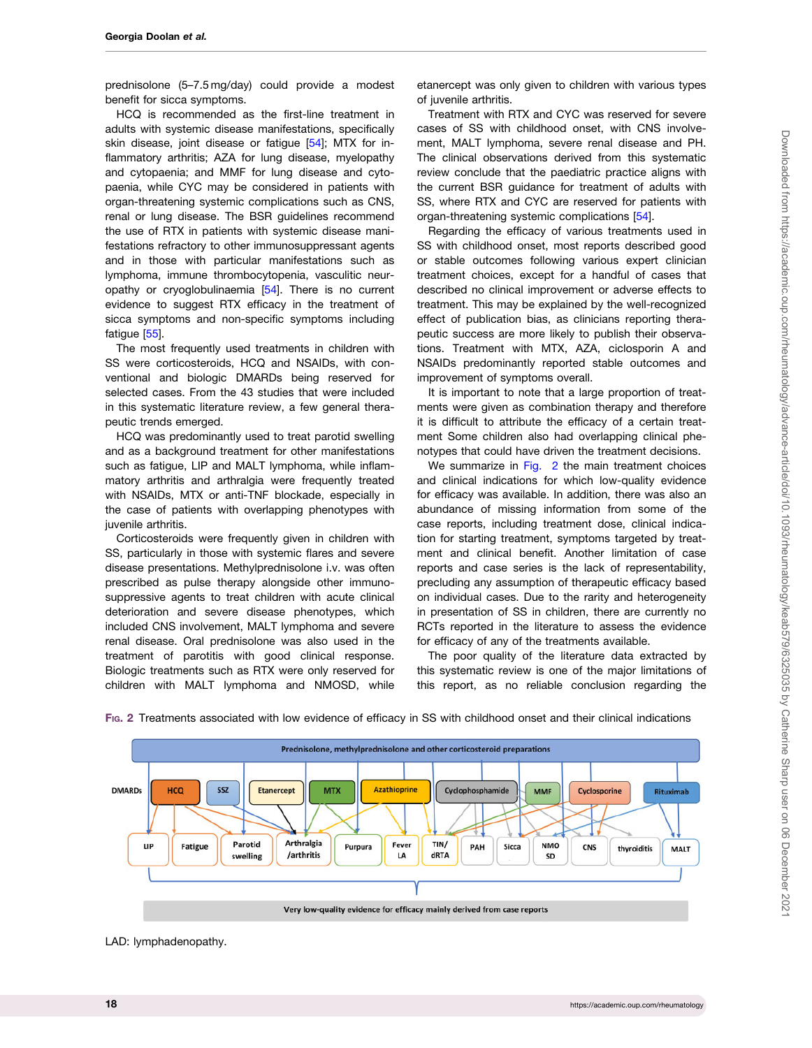<span id="page-17-0"></span>prednisolone (5–7.5 mg/day) could provide a modest benefit for sicca symptoms.

HCQ is recommended as the first-line treatment in adults with systemic disease manifestations, specifically skin disease, joint disease or fatigue [\[54](#page-20-0)]: MTX for inflammatory arthritis; AZA for lung disease, myelopathy and cytopaenia; and MMF for lung disease and cytopaenia, while CYC may be considered in patients with organ-threatening systemic complications such as CNS, renal or lung disease. The BSR guidelines recommend the use of RTX in patients with systemic disease manifestations refractory to other immunosuppressant agents and in those with particular manifestations such as lymphoma, immune thrombocytopenia, vasculitic neuropathy or cryoglobulinaemia [[54\]](#page-20-0). There is no current evidence to suggest RTX efficacy in the treatment of sicca symptoms and non-specific symptoms including fatigue [\[55\]](#page-20-0).

The most frequently used treatments in children with SS were corticosteroids, HCQ and NSAIDs, with conventional and biologic DMARDs being reserved for selected cases. From the 43 studies that were included in this systematic literature review, a few general therapeutic trends emerged.

HCQ was predominantly used to treat parotid swelling and as a background treatment for other manifestations such as fatigue, LIP and MALT lymphoma, while inflammatory arthritis and arthralgia were frequently treated with NSAIDs, MTX or anti-TNF blockade, especially in the case of patients with overlapping phenotypes with juvenile arthritis.

Corticosteroids were frequently given in children with SS, particularly in those with systemic flares and severe disease presentations. Methylprednisolone i.v. was often prescribed as pulse therapy alongside other immunosuppressive agents to treat children with acute clinical deterioration and severe disease phenotypes, which included CNS involvement, MALT lymphoma and severe renal disease. Oral prednisolone was also used in the treatment of parotitis with good clinical response. Biologic treatments such as RTX were only reserved for children with MALT lymphoma and NMOSD, while

etanercept was only given to children with various types of juvenile arthritis.

Treatment with RTX and CYC was reserved for severe cases of SS with childhood onset, with CNS involvement, MALT lymphoma, severe renal disease and PH. The clinical observations derived from this systematic review conclude that the paediatric practice aligns with the current BSR guidance for treatment of adults with SS, where RTX and CYC are reserved for patients with organ-threatening systemic complications [[54](#page-20-0)].

Regarding the efficacy of various treatments used in SS with childhood onset, most reports described good or stable outcomes following various expert clinician treatment choices, except for a handful of cases that described no clinical improvement or adverse effects to treatment. This may be explained by the well-recognized effect of publication bias, as clinicians reporting therapeutic success are more likely to publish their observations. Treatment with MTX, AZA, ciclosporin A and NSAIDs predominantly reported stable outcomes and improvement of symptoms overall.

It is important to note that a large proportion of treatments were given as combination therapy and therefore it is difficult to attribute the efficacy of a certain treatment Some children also had overlapping clinical phenotypes that could have driven the treatment decisions.

We summarize in Fig. 2 the main treatment choices and clinical indications for which low-quality evidence for efficacy was available. In addition, there was also an abundance of missing information from some of the case reports, including treatment dose, clinical indication for starting treatment, symptoms targeted by treatment and clinical benefit. Another limitation of case reports and case series is the lack of representability, precluding any assumption of therapeutic efficacy based on individual cases. Due to the rarity and heterogeneity in presentation of SS in children, there are currently no RCTs reported in the literature to assess the evidence for efficacy of any of the treatments available.

The poor quality of the literature data extracted by this systematic review is one of the major limitations of this report, as no reliable conclusion regarding the



FIG. 2 Treatments associated with low evidence of efficacy in SS with childhood onset and their clinical indications

LAD: lymphadenopathy.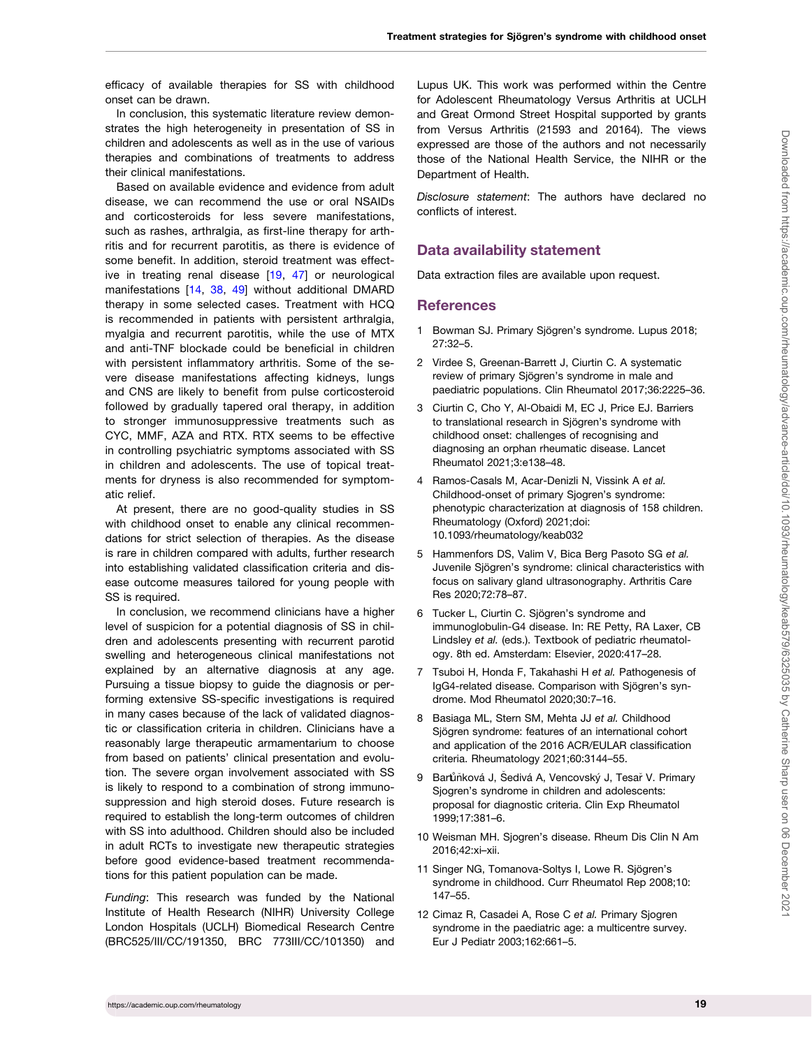<span id="page-18-0"></span>efficacy of available therapies for SS with childhood onset can be drawn.

In conclusion, this systematic literature review demonstrates the high heterogeneity in presentation of SS in children and adolescents as well as in the use of various therapies and combinations of treatments to address their clinical manifestations.

Based on available evidence and evidence from adult disease, we can recommend the use or oral NSAIDs and corticosteroids for less severe manifestations, such as rashes, arthralgia, as first-line therapy for arthritis and for recurrent parotitis, as there is evidence of some benefit. In addition, steroid treatment was effective in treating renal disease [\[19,](#page-19-0) [47](#page-19-0)] or neurological manifestations [[14](#page-19-0), [38](#page-19-0), [49\]](#page-20-0) without additional DMARD therapy in some selected cases. Treatment with HCQ is recommended in patients with persistent arthralgia, myalgia and recurrent parotitis, while the use of MTX and anti-TNF blockade could be beneficial in children with persistent inflammatory arthritis. Some of the severe disease manifestations affecting kidneys, lungs and CNS are likely to benefit from pulse corticosteroid followed by gradually tapered oral therapy, in addition to stronger immunosuppressive treatments such as CYC, MMF, AZA and RTX. RTX seems to be effective in controlling psychiatric symptoms associated with SS in children and adolescents. The use of topical treatments for dryness is also recommended for symptomatic relief.

At present, there are no good-quality studies in SS with childhood onset to enable any clinical recommendations for strict selection of therapies. As the disease is rare in children compared with adults, further research into establishing validated classification criteria and disease outcome measures tailored for young people with SS is required.

In conclusion, we recommend clinicians have a higher level of suspicion for a potential diagnosis of SS in children and adolescents presenting with recurrent parotid swelling and heterogeneous clinical manifestations not explained by an alternative diagnosis at any age. Pursuing a tissue biopsy to guide the diagnosis or performing extensive SS-specific investigations is required in many cases because of the lack of validated diagnostic or classification criteria in children. Clinicians have a reasonably large therapeutic armamentarium to choose from based on patients' clinical presentation and evolution. The severe organ involvement associated with SS is likely to respond to a combination of strong immunosuppression and high steroid doses. Future research is required to establish the long-term outcomes of children with SS into adulthood. Children should also be included in adult RCTs to investigate new therapeutic strategies before good evidence-based treatment recommendations for this patient population can be made.

Funding: This research was funded by the National Institute of Health Research (NIHR) University College London Hospitals (UCLH) Biomedical Research Centre (BRC525/III/CC/191350, BRC 773III/CC/101350) and

Lupus UK. This work was performed within the Centre for Adolescent Rheumatology Versus Arthritis at UCLH and Great Ormond Street Hospital supported by grants from Versus Arthritis (21593 and 20164). The views expressed are those of the authors and not necessarily those of the National Health Service, the NIHR or the Department of Health.

Disclosure statement: The authors have declared no conflicts of interest.

# Data availability statement

Data extraction files are available upon request.

#### **References**

- [1](#page-1-0) Bowman SJ. Primary Sjögren's syndrome. Lupus 2018; 27:32–5.
- [2](#page-1-0) Virdee S, Greenan-Barrett J, Ciurtin C. A systematic review of primary Sjögren's syndrome in male and paediatric populations. Clin Rheumatol 2017;36:2225–36.
- [3](#page-1-0) Ciurtin C, Cho Y, Al-Obaidi M, EC J, Price EJ. Barriers to translational research in Sjögren's syndrome with childhood onset: challenges of recognising and diagnosing an orphan rheumatic disease. Lancet Rheumatol 2021;3:e138–48.
- [4](#page-1-0) Ramos-Casals M, Acar-Denizli N, Vissink A et al. Childhood-onset of primary Sjogren's syndrome: phenotypic characterization at diagnosis of 158 children. Rheumatology (Oxford) 2021;doi: 10.1093/rheumatology/keab032
- [5](#page-1-0) Hammenfors DS, Valim V, Bica Berg Pasoto SG et al. Juvenile Sjögren's syndrome: clinical characteristics with focus on salivary gland ultrasonography. Arthritis Care Res 2020;72:78–87.
- [6](#page-1-0) Tucker L, Ciurtin C. Sjögren's syndrome and immunoglobulin-G4 disease. In: RE Petty, RA Laxer, CB Lindsley et al. (eds.). Textbook of pediatric rheumatology. 8th ed. Amsterdam: Elsevier, 2020:417–28.
- [7](#page-1-0) Tsuboi H, Honda F, Takahashi H et al. Pathogenesis of IgG4-related disease. Comparison with Sjögren's syndrome. Mod Rheumatol 2020;30:7–16.
- [8](#page-1-0) Basiaga ML, Stern SM, Mehta JJ et al. Childhood Sjögren syndrome: features of an international cohort and application of the 2016 ACR/EULAR classification criteria. Rheumatology 2021;60:3144–55.
- [9](#page-1-0) Barůňková J, Šedivá A, Vencovský J, Tesař V. Primary Sjogren's syndrome in children and adolescents: proposal for diagnostic criteria. Clin Exp Rheumatol 1999;17:381–6.
- [10](#page-1-0) Weisman MH. Sjogren's disease. Rheum Dis Clin N Am 2016;42:xi–xii.
- [11](#page-1-0) Singer NG, Tomanova-Soltys I, Lowe R. Sjögren's syndrome in childhood. Curr Rheumatol Rep 2008;10: 147–55.
- [12](#page-1-0) Cimaz R, Casadei A, Rose C et al. Primary Sjogren syndrome in the paediatric age: a multicentre survey. Eur J Pediatr 2003;162:661–5.

Downloaded from https://academic.oup.com/rheumatology/advance-article/doi/10.1093/rheumatology/keab579/6325035 by Catherine Sharp user on 06 December 202 Downloaded from https://academic.oup.com/rheumatology/advance-article/doi/10.1093/rheumatology/keab579/6325035 by Catherine Sharp user on 06 December 2021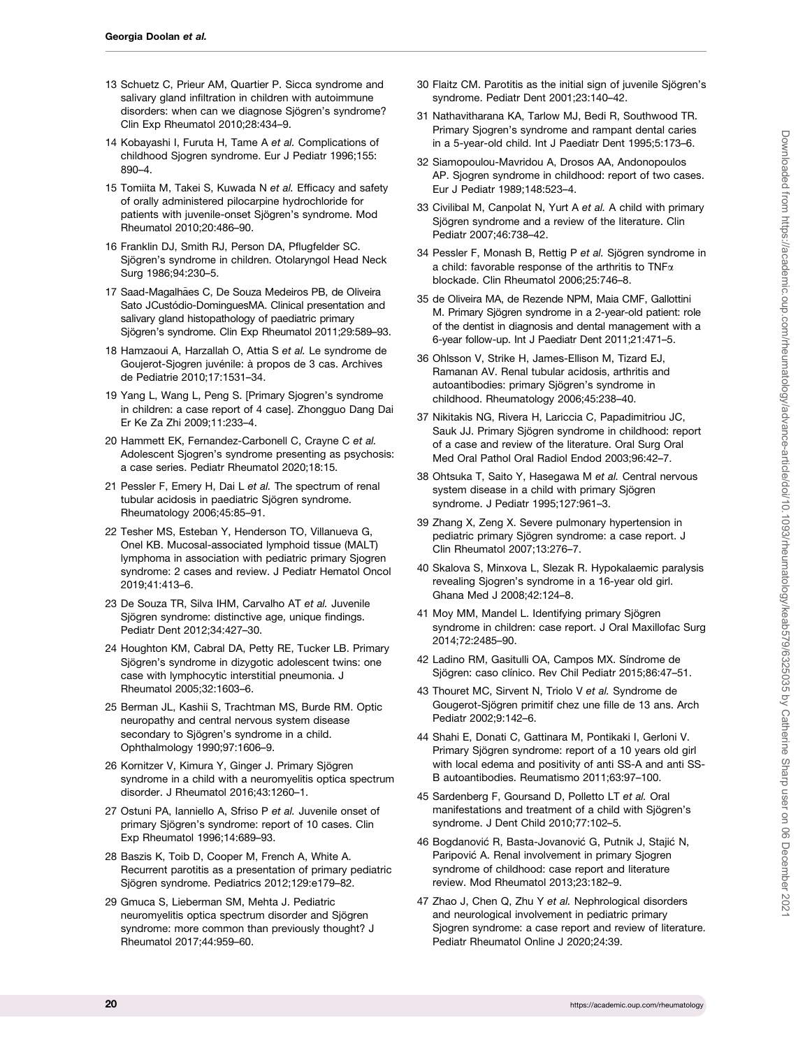- <span id="page-19-0"></span>[13](#page-3-0) Schuetz C, Prieur AM, Quartier P. Sicca syndrome and salivary gland infiltration in children with autoimmune disorders: when can we diagnose Siögren's syndrome? Clin Exp Rheumatol 2010;28:434–9.
- [14](#page-1-0) Kobayashi I, Furuta H, Tame A et al. Complications of childhood Sjogren syndrome. Eur J Pediatr 1996;155: 890–4.
- [15](#page-3-0) Tomiita M, Takei S, Kuwada N et al. Efficacy and safety of orally administered pilocarpine hydrochloride for patients with juvenile-onset Sjögren's syndrome. Mod Rheumatol 2010;20:486–90.
- [16](#page-1-0) Franklin DJ, Smith RJ, Person DA, Pflugfelder SC. Sjögren's syndrome in children. Otolaryngol Head Neck Surg 1986;94:230–5.
- [17](#page-3-0) Saad-Magalhães C, De Souza Medeiros PB, de Oliveira Sato JCustódio-DominguesMA. Clinical presentation and salivary gland histopathology of paediatric primary Sjögren's syndrome. Clin Exp Rheumatol 2011;29:589-93.
- [18](#page-4-0) Hamzaoui A, Harzallah O, Attia S et al. Le syndrome de Goujerot-Sjogren juvénile: à propos de 3 cas. Archives de Pediatrie 2010;17:1531–34.
- [19](#page-4-0) Yang L, Wang L, Peng S. [Primary Sjogren's syndrome in children: a case report of 4 case]. Zhongguo Dang Dai Er Ke Za Zhi 2009;11:233–4.
- [20](#page-4-0) Hammett EK, Fernandez-Carbonell C, Crayne C et al. Adolescent Sjogren's syndrome presenting as psychosis: a case series. Pediatr Rheumatol 2020;18:15.
- [21](#page-4-0) Pessler F, Emery H, Dai L et al. The spectrum of renal tubular acidosis in paediatric Sjögren syndrome. Rheumatology 2006;45:85–91.
- [22](#page-5-0) Tesher MS, Esteban Y, Henderson TO, Villanueva G, Onel KB. Mucosal-associated lymphoid tissue (MALT) lymphoma in association with pediatric primary Sjogren syndrome: 2 cases and review. J Pediatr Hematol Oncol 2019;41:413–6.
- [23](#page-1-0) De Souza TR, Silva IHM, Carvalho AT et al. Juvenile Sjögren syndrome: distinctive age, unique findings. Pediatr Dent 2012;34:427–30.
- [24](#page-5-0) Houghton KM, Cabral DA, Petty RE, Tucker LB. Primary Sjögren's syndrome in dizygotic adolescent twins: one case with lymphocytic interstitial pneumonia. J Rheumatol 2005;32:1603–6.
- [25](#page-5-0) Berman JL, Kashii S, Trachtman MS, Burde RM. Optic neuropathy and central nervous system disease secondary to Sjögren's syndrome in a child. Ophthalmology 1990;97:1606–9.
- [26](#page-5-0) Kornitzer V, Kimura Y, Ginger J. Primary Sjögren syndrome in a child with a neuromyelitis optica spectrum disorder. J Rheumatol 2016;43:1260–1.
- [27](#page-5-0) Ostuni PA, Ianniello A, Sfriso P et al. Juvenile onset of primary Sjögren's syndrome: report of 10 cases. Clin Exp Rheumatol 1996;14:689–93.
- [28](#page-5-0) Baszis K, Toib D, Cooper M, French A, White A. Recurrent parotitis as a presentation of primary pediatric Sjögren syndrome. Pediatrics 2012;129:e179-82.
- [29](#page-5-0) Gmuca S, Lieberman SM, Mehta J. Pediatric neuromyelitis optica spectrum disorder and Sjögren syndrome: more common than previously thought? J Rheumatol 2017;44:959–60.
- [30](#page-5-0) Flaitz CM. Parotitis as the initial sign of juvenile Siögren's syndrome. Pediatr Dent 2001;23:140–42.
- [31](#page-5-0) Nathavitharana KA, Tarlow MJ, Bedi R, Southwood TR. Primary Sjogren's syndrome and rampant dental caries in a 5-year-old child. Int J Paediatr Dent 1995;5:173–6.
- [32](#page-5-0) Siamopoulou-Mavridou A, Drosos AA, Andonopoulos AP. Sjogren syndrome in childhood: report of two cases. Eur J Pediatr 1989;148:523–4.
- [33](#page-5-0) Civilibal M, Canpolat N, Yurt A et al. A child with primary Sjögren syndrome and a review of the literature. Clin Pediatr 2007;46:738–42.
- [34](#page-6-0) Pessler F, Monash B, Rettig P et al. Sjögren syndrome in a child: favorable response of the arthritis to TNF $\alpha$ blockade. Clin Rheumatol 2006;25:746–8.
- [35](#page-6-0) de Oliveira MA, de Rezende NPM, Maia CMF, Gallottini M. Primary Sjögren syndrome in a 2-year-old patient: role of the dentist in diagnosis and dental management with a 6-year follow-up. Int J Paediatr Dent 2011;21:471–5.
- [36](#page-6-0) Ohlsson V, Strike H, James-Ellison M, Tizard EJ, Ramanan AV. Renal tubular acidosis, arthritis and autoantibodies: primary Sjögren's syndrome in childhood. Rheumatology 2006;45:238–40.
- [37](#page-6-0) Nikitakis NG, Rivera H, Lariccia C, Papadimitriou JC, Sauk JJ. Primary Sjögren syndrome in childhood: report of a case and review of the literature. Oral Surg Oral Med Oral Pathol Oral Radiol Endod 2003;96:42–7.
- [38](#page-6-0) Ohtsuka T, Saito Y, Hasegawa M et al. Central nervous system disease in a child with primary Sjögren syndrome. J Pediatr 1995;127:961–3.
- [39](#page-6-0) Zhang X, Zeng X. Severe pulmonary hypertension in pediatric primary Sjögren syndrome: a case report. J Clin Rheumatol 2007;13:276–7.
- [40](#page-6-0) Skalova S, Minxova L, Slezak R. Hypokalaemic paralysis revealing Sjogren's syndrome in a 16-year old girl. Ghana Med J 2008;42:124–8.
- [41](#page-6-0) Moy MM, Mandel L. Identifying primary Sjögren syndrome in children: case report. J Oral Maxillofac Surg 2014;72:2485–90.
- [42](#page-6-0) Ladino RM, Gasitulli OA, Campos MX. Síndrome de Sjögren: caso clínico. Rev Chil Pediatr 2015;86:47-51.
- [43](#page-6-0) Thouret MC, Sirvent N, Triolo V et al. Syndrome de Gougerot-Sjögren primitif chez une fille de 13 ans. Arch Pediatr 2002;9:142–6.
- [44](#page-6-0) Shahi E, Donati C, Gattinara M, Pontikaki I, Gerloni V. Primary Sjögren syndrome: report of a 10 years old girl with local edema and positivity of anti SS-A and anti SS-B autoantibodies. Reumatismo 2011;63:97–100.
- [45](#page-6-0) Sardenberg F, Goursand D, Polletto LT et al. Oral manifestations and treatment of a child with Sjögren's syndrome. J Dent Child 2010;77:102–5.
- [46](#page-6-0) Bogdanović R, Basta-Jovanović G, Putnik J, Stajić N, Paripovic A. Renal involvement in primary Sjogren syndrome of childhood: case report and literature review. Mod Rheumatol 2013;23:182–9.
- [47](#page-6-0) Zhao J, Chen Q, Zhu Y et al. Nephrological disorders and neurological involvement in pediatric primary Sjogren syndrome: a case report and review of literature. Pediatr Rheumatol Online J 2020;24:39.